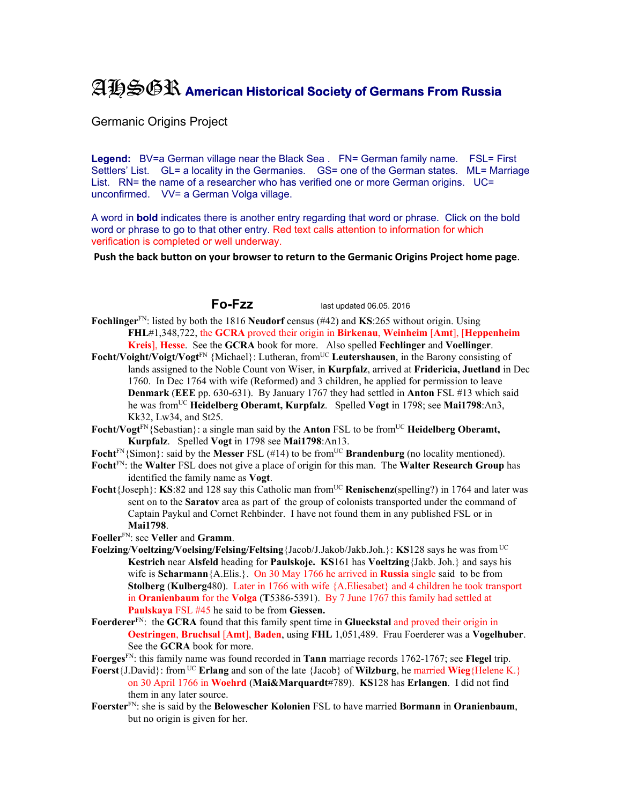## AHSGR **American Historical Society of Germans From Russia**

Germanic Origins Project

Legend: BV=a German village near the Black Sea . FN= German family name. FSL= First Settlers' List. GL= a locality in the Germanies. GS= one of the German states. ML= Marriage List. RN= the name of a researcher who has verified one or more German origins. UC= unconfirmed. VV= a German Volga village.

A word in **bold** indicates there is another entry regarding that word or phrase. Click on the bold word or phrase to go to that other entry. Red text calls attention to information for which verification is completed or well underway.

**Push the back button on your browser to return to the Germanic Origins Project home page**.

**Fo-Fzz** last updated 06.05. 2016

- **Fochlinger**FN: listed by both the 1816 **Neudorf** census (#42) and **KS**:265 without origin. Using **FHL**#1,348,722, the **GCRA** proved their origin in **Birkenau**, **Weinheim** [**Amt**], [**Heppenheim Kreis**], **Hesse**. See the **GCRA** book for more. Also spelled **Fechlinger** and **Voellinger**.
- **Focht/Voight/Voigt/Vogt**<sup>FN</sup> {Michael}: Lutheran, from<sup>UC</sup> Leutershausen, in the Barony consisting of lands assigned to the Noble Count von Wiser, in **Kurpfalz**, arrived at **Fridericia, Juetland** in Dec 1760. In Dec 1764 with wife (Reformed) and 3 children, he applied for permission to leave **Denmark** (**EEE** pp. 630-631). By January 1767 they had settled in **Anton** FSL #13 which said he was fromUC **Heidelberg Oberamt, Kurpfalz**. Spelled **Vogt** in 1798; see **Mai1798**:An3, Kk32, Lw34, and St25.
- Focht/Vogt<sup>FN</sup>{Sebastian}: a single man said by the **Anton** FSL to be from<sup>UC</sup> **Heidelberg Oberamt, Kurpfalz**. Spelled **Vogt** in 1798 see **Mai1798**:An13.
- **Focht**<sup>FN</sup>{Simon}: said by the **Messer** FSL (#14) to be from<sup>UC</sup> **Brandenburg** (no locality mentioned).
- **Focht**FN: the **Walter** FSL does not give a place of origin for this man. The **Walter Research Group** has identified the family name as **Vogt**.
- **Focht**{Joseph}: **KS**:82 and 128 say this Catholic man from<sup>UC</sup> **Renischenz**(spelling?) in 1764 and later was sent on to the **Saratov** area as part of the group of colonists transported under the command of Captain Paykul and Cornet Rehbinder. I have not found them in any published FSL or in **Mai1798**.
- **Foeller**FN: see **Veller** and **Gramm**.
- **Foelzing**/**Voeltzing/Voelsing/Felsing/Feltsing**{Jacob/J.Jakob/Jakb.Joh.}: **KS**128 says he was from UC **Kestrich** near **Alsfeld** heading for **Paulskoje. KS**161 has **Voeltzing**{Jakb. Joh.} and says his wife is **Scharmann**{A.Elis.}. On 30 May 1766 he arrived in **Russia** single said to be from **Stolberg** (**Kulberg**480). Later in 1766 with wife {A.Eliesabet} and 4 children he took transport in **Oranienbaum** for the **Volga** (**T**5386-5391). By 7 June 1767 this family had settled at **Paulskaya** FSL #45 he said to be from **Giessen.**
- **Foerderer**FN: the **GCRA** found that this family spent time in **Glueckstal** and proved their origin in **Oestringen**, **Bruchsal** [**Amt**], **Baden**, using **FHL** 1,051,489. Frau Foerderer was a **Vogelhuber**. See the **GCRA** book for more.
- **Foerges**FN: this family name was found recorded in **Tann** marriage records 1762-1767; see **Flegel** trip.
- **Foerst**{J.David}: from UC **Erlang** and son of the late {Jacob} of **Wilzburg**, he married **Wieg**{Helene K.} on 30 April 1766 in **Woehrd** (**Mai&Marquardt**#789). **KS**128 has **Erlangen**. I did not find them in any later source.
- **Foerster**FN: she is said by the **Belowescher Kolonien** FSL to have married **Bormann** in **Oranienbaum**, but no origin is given for her.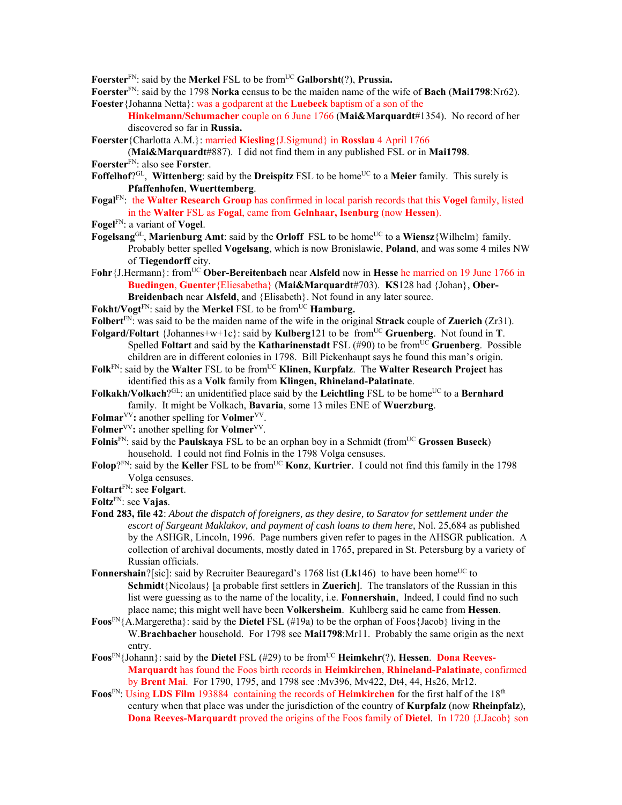Foerster<sup>FN</sup>: said by the Merkel FSL to be from<sup>UC</sup> Galborsht(?), Prussia.

- **Foerster**FN: said by the 1798 **Norka** census to be the maiden name of the wife of **Bach** (**Mai1798**:Nr62). **Foester**{Johanna Netta}: was a godparent at the **Luebeck** baptism of a son of the
	- **Hinkelmann/Schumacher** couple on 6 June 1766 (**Mai&Marquardt**#1354). No record of her discovered so far in **Russia.**
- **Foerster**{Charlotta A.M.}: married **Kiesling**{J.Sigmund} in **Rosslau** 4 April 1766

(**Mai&Marquardt**#887). I did not find them in any published FSL or in **Mai1798**. **Foerster**FN: also see **Forster**.

- Foffelhof<sup> $QGL$ </sup>, Wittenberg: said by the Dreispitz FSL to be home<sup>UC</sup> to a Meier family. This surely is **Pfaffenhofen**, **Wuerttemberg**.
- **Fogal**FN: the **Walter Research Group** has confirmed in local parish records that this **Vogel** family, listed in the **Walter** FSL as **Fogal**, came from **Gelnhaar, Isenburg** (now **Hessen**).
- **Fogel**FN: a variant of **Vogel**.
- **Fogelsang**GL, **Marienburg Amt**: said by the **Orloff** FSL to be home<sup>UC</sup> to a **Wiensz**{Wilhelm} family. Probably better spelled **Vogelsang**, which is now Bronislawie, **Poland**, and was some 4 miles NW of **Tiegendorff** city.
- F**ohr**{J.Hermann}: fromUC **Ober-Bereitenbach** near **Alsfeld** now in **Hesse** he married on 19 June 1766 in **Buedingen**, **Guenter**{Eliesabetha} (**Mai&Marquardt**#703). **KS**128 had {Johan}, **Ober-Breidenbach** near **Alsfeld**, and {Elisabeth}. Not found in any later source.
- **Fokht/Vogt<sup>FN</sup>: said by the Merkel FSL to be from <sup>UC</sup> Hamburg.**
- **Folbert**FN: was said to be the maiden name of the wife in the original **Strack** couple of **Zuerich** (Zr31).
- **Folgard/Foltart** {Johannes+w+1c}: said by **Kulberg**121 to be fromUC **Gruenberg**. Not found in **T**. Spelled **Foltart** and said by the **Katharinenstadt** FSL (#90) to be from<sup>UC</sup> Gruenberg. Possible children are in different colonies in 1798. Bill Pickenhaupt says he found this man's origin.
- Folk<sup>FN</sup>: said by the Walter FSL to be from<sup>UC</sup> Klinen, Kurpfalz. The Walter Research Project has identified this as a **Volk** family from **Klingen, Rhineland-Palatinate**.
- Folkakh/Volkach?<sup>GL</sup>: an unidentified place said by the Leichtling FSL to be home<sup>UC</sup> to a **Bernhard** family. It might be Volkach, **Bavaria**, some 13 miles ENE of **Wuerzburg**.
- **Folmar**VV**:** another spelling for **Volmer**VV.
- **Folmer**VV**:** another spelling for **Volmer**VV.
- Folnis<sup>FN</sup>: said by the **Paulskaya** FSL to be an orphan boy in a Schmidt (from<sup>UC</sup> Grossen Buseck) household. I could not find Folnis in the 1798 Volga censuses.
- Folop?<sup>FN</sup>: said by the **Keller** FSL to be from<sup>UC</sup> **Konz**, **Kurtrier**. I could not find this family in the 1798 Volga censuses.
- **Foltart**FN: see **Folgart**.
- **Foltz**FN: see **Vajas**.
- **Fond 283, file 42**: *About the dispatch of foreigners, as they desire, to Saratov for settlement under the escort of Sargeant Maklakov, and payment of cash loans to them here,* Nol. 25,684 as published by the ASHGR, Lincoln, 1996. Page numbers given refer to pages in the AHSGR publication. A collection of archival documents, mostly dated in 1765, prepared in St. Petersburg by a variety of Russian officials.
- **Fonnershain**?[sic]: said by Recruiter Beauregard's 1768 list (Lk146) to have been home<sup>UC</sup> to **Schmidt**{Nicolaus} [a probable first settlers in **Zuerich**]. The translators of the Russian in this list were guessing as to the name of the locality, i.e. **Fonnershain**, Indeed, I could find no such place name; this might well have been **Volkersheim**. Kuhlberg said he came from **Hessen**.
- **Foos**FN{A.Margeretha}: said by the **Dietel** FSL (#19a) to be the orphan of Foos{Jacob} living in the W.**Brachbacher** household. For 1798 see **Mai1798**:Mr11. Probably the same origin as the next entry.
- **Foos**<sup>FN</sup>{Johann}: said by the **Dietel** FSL (#29) to be from<sup>UC</sup> **Heimkehr**(?), **Hessen**. **Dona Reeves-Marquardt** has found the Foos birth records in **Heimkirchen**, **Rhineland-Palatinate**, confirmed by **Brent Mai**. For 1790, 1795, and 1798 see :Mv396, Mv422, Dt4, 44, Hs26, Mr12.
- **Foos**FN: Using **LDS Film** 193884 containing the records of **Heimkirchen** for the first half of the 18th century when that place was under the jurisdiction of the country of **Kurpfalz** (now **Rheinpfalz**), **Dona Reeves-Marquardt** proved the origins of the Foos family of **Dietel**. In 1720 {J.Jacob} son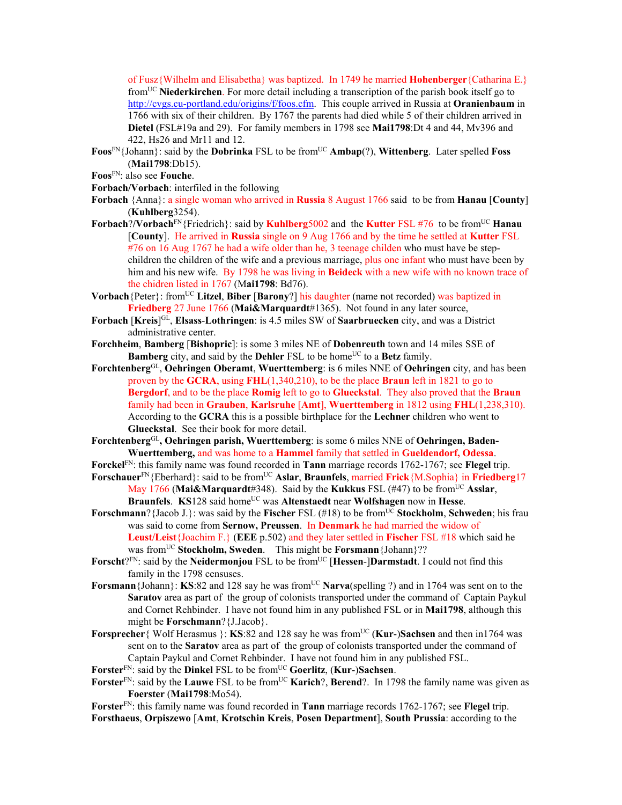of Fusz{Wilhelm and Elisabetha} was baptized. In 1749 he married **Hohenberger**{Catharina E.} fromUC **Niederkirchen**. For more detail including a transcription of the parish book itself go to http://cvgs.cu-portland.edu/origins/f/foos.cfm. This couple arrived in Russia at **Oranienbaum** in 1766 with six of their children. By 1767 the parents had died while 5 of their children arrived in **Dietel** (FSL#19a and 29). For family members in 1798 see **Mai1798**:Dt 4 and 44, Mv396 and 422, Hs26 and Mr11 and 12.

- **Foos**<sup>FN</sup>{Johann}: said by the **Dobrinka** FSL to be from<sup>UC</sup> **Ambap**(?), **Wittenberg**. Later spelled **Foss** (**Mai1798**:Db15).
- **Foos**FN: also see **Fouche**.

**Forbach/Vorbach**: interfiled in the following

- **Forbach** {Anna}: a single woman who arrived in **Russia** 8 August 1766 said to be from **Hanau** [**County**] (**Kuhlberg**3254).
- **Forbach**?**/Vorbach**FN{Friedrich}: said by **Kuhlberg**5002 and the **Kutter** FSL #76 to be fromUC **Hanau**  [**County**]. He arrived in **Russia** single on 9 Aug 1766 and by the time he settled at **Kutter** FSL #76 on 16 Aug 1767 he had a wife older than he, 3 teenage childen who must have be stepchildren the children of the wife and a previous marriage, plus one infant who must have been by him and his new wife. By 1798 he was living in **Beideck** with a new wife with no known trace of the chidren listed in 1767 (M**ai1798**: Bd76).
- Vorbach {Peter}: from<sup>UC</sup> Litzel, Biber [Barony?] his daughter (name not recorded) was baptized in **Friedberg** 27 June 1766 (**Mai&Marquardt**#1365). Not found in any later source,
- **Forbach** [**Kreis**] GL, **Elsass**-**Lothringen**: is 4.5 miles SW of **Saarbruecken** city, and was a District administrative center.
- **Forchheim**, **Bamberg** [**Bishopric**]: is some 3 miles NE of **Dobenreuth** town and 14 miles SSE of **Bamberg** city, and said by the **Dehler** FSL to be home<sup>UC</sup> to a **Betz** family.
- **Forchtenberg**GL, **Oehringen Oberamt**, **Wuerttemberg**: is 6 miles NNE of **Oehringen** city, and has been proven by the **GCRA**, using **FHL**(1,340,210), to be the place **Braun** left in 1821 to go to **Bergdorf**, and to be the place **Romig** left to go to **Glueckstal**. They also proved that the **Braun** family had been in **Grauben**, **Karlsruhe** [**Amt**], **Wuerttemberg** in 1812 using **FHL**(1,238,310). According to the **GCRA** this is a possible birthplace for the **Lechner** children who went to **Glueckstal**. See their book for more detail.
- Forchtenberg<sup>GL</sup>, Oehringen parish, Wuerttemberg: is some 6 miles NNE of Oehringen, Baden-**Wuerttemberg,** and was home to a **Hammel** family that settled in **Gueldendorf, Odessa**.
- **Forckel**FN: this family name was found recorded in **Tann** marriage records 1762-1767; see **Flegel** trip. **Forschauer**<sup>FN</sup>{Eberhard}: said to be from<sup>UC</sup> Aslar, Braunfels, married Frick{M.Sophia} in Friedberg17
- May 1766 (Mai&Marquardt#348). Said by the **Kukkus** FSL (#47) to be from<sup>UC</sup> Asslar, **Braunfels**. **KS**128 said home<sup>UC</sup> was **Altenstaedt** near **Wolfshagen** now in **Hesse**.
- **Forschmann**?{Jacob J.}: was said by the **Fischer** FSL (#18) to be from<sup>UC</sup> **Stockholm**, **Schweden**; his frau was said to come from **Sernow, Preussen**. In **Denmark** he had married the widow of **Leust/Leist**{Joachim F.} (**EEE** p.502) and they later settled in **Fischer** FSL #18 which said he was from<sup>UC</sup> Stockholm, Sweden. This might be **Forsmann** {Johann}??
- Forscht?FN: said by the Neidermonjou FSL to be from<sup>UC</sup> [Hessen-]Darmstadt. I could not find this family in the 1798 censuses.
- **Forsmann** {Johann}: **KS**:82 and 128 say he was from<sup>UC</sup> **Narva**(spelling ?) and in 1764 was sent on to the **Saratov** area as part of the group of colonists transported under the command of Captain Paykul and Cornet Rehbinder. I have not found him in any published FSL or in **Mai1798**, although this might be **Forschmann**?{J.Jacob}.
- **Forsprecher**{ Wolf Herasmus }: **KS**:82 and 128 say he was from<sup>UC</sup> (**Kur-)Sachsen** and then in1764 was sent on to the **Saratov** area as part of the group of colonists transported under the command of Captain Paykul and Cornet Rehbinder. I have not found him in any published FSL.
- Forster<sup>FN</sup>: said by the **Dinkel** FSL to be from<sup>UC</sup> Goerlitz, (Kur-)Sachsen.
- Forster<sup>FN</sup>: said by the Lauwe FSL to be from<sup>UC</sup> Karich?, Berend?. In 1798 the family name was given as **Foerster** (**Mai1798**:Mo54).

**Forster**FN: this family name was found recorded in **Tann** marriage records 1762-1767; see **Flegel** trip. **Forsthaeus**, **Orpiszewo** [**Amt**, **Krotschin Kreis**, **Posen Department**], **South Prussia**: according to the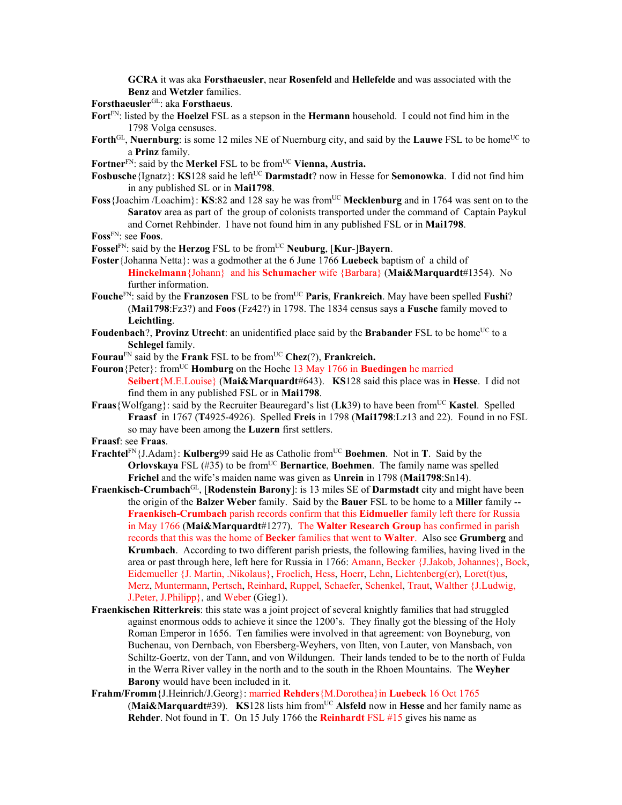**GCRA** it was aka **Forsthaeusler**, near **Rosenfeld** and **Hellefelde** and was associated with the **Benz** and **Wetzler** families.

**Forsthaeusler**GL: aka **Forsthaeus**.

- **Fort**FN: listed by the **Hoelzel** FSL as a stepson in the **Hermann** household. I could not find him in the 1798 Volga censuses.
- Forth<sup>GL</sup>, Nuernburg: is some 12 miles NE of Nuernburg city, and said by the **Lauwe** FSL to be home<sup>UC</sup> to a **Prinz** family.
- Fortner<sup>FN</sup>: said by the **Merkel** FSL to be from<sup>UC</sup> Vienna, Austria.
- **Fosbusche**{Ignatz}: **KS**128 said he left<sup>UC</sup> **Darmstadt**? now in Hesse for **Semonowka**. I did not find him in any published SL or in **Mai1798**.
- **Foss** {Joachim /Loachim}: **KS**:82 and 128 say he was from<sup>UC</sup> Mecklenburg and in 1764 was sent on to the **Saratov** area as part of the group of colonists transported under the command of Captain Paykul and Cornet Rehbinder. I have not found him in any published FSL or in **Mai1798**.

**Foss**FN: see **Foos**.

- Fossel<sup>FN</sup>: said by the **Herzog** FSL to be from<sup>UC</sup> **Neuburg**, [**Kur-**]Bayern.
- **Foster**{Johanna Netta}: was a godmother at the 6 June 1766 **Luebeck** baptism of a child of **Hinckelmann**{Johann} and his **Schumacher** wife {Barbara} (**Mai&Marquardt**#1354). No further information.
- Fouche<sup>FN</sup>: said by the **Franzosen** FSL to be from<sup>UC</sup> Paris, Frankreich. May have been spelled Fushi? (**Mai1798**:Fz3?) and **Foos** (Fz42?) in 1798. The 1834 census says a **Fusche** family moved to **Leichtling**.
- Foudenbach?, Provinz Utrecht: an unidentified place said by the Brabander FSL to be home<sup>UC</sup> to a **Schlegel** family.
- **Fourau**FN said by the **Frank** FSL to be fromUC **Chez**(?), **Frankreich.**
- **Fouron** {Peter}: from<sup>UC</sup> **Homburg** on the Hoehe 13 May 1766 in **Buedingen** he married **Seibert**{M.E.Louise} (**Mai&Marquardt**#643). **KS**128 said this place was in **Hesse**. I did not find them in any published FSL or in **Mai1798**.
- **Fraas**{Wolfgang}: said by the Recruiter Beauregard's list ( $Lk39$ ) to have been from<sup>UC</sup> **Kastel**. Spelled **Fraasf** in 1767 (**T**4925-4926). Spelled **Freis** in 1798 (**Mai1798**:Lz13 and 22). Found in no FSL so may have been among the **Luzern** first settlers.

**Fraasf**: see **Fraas**.

- **Frachtel**<sup>FN</sup>{J.Adam}: **Kulberg**99 said He as Catholic from<sup>UC</sup> Boehmen. Not in T. Said by the **Orlovskaya** FSL  $(\#35)$  to be from<sup>UC</sup> **Bernartice**, **Boehmen**. The family name was spelled **Frichel** and the wife's maiden name was given as **Unrein** in 1798 (**Mai1798**:Sn14).
- **Fraenkisch-Crumbach**GL, [**Rodenstein Barony**]: is 13 miles SE of **Darmstadt** city and might have been the origin of the **Balzer Weber** family. Said by the **Bauer** FSL to be home to a **Miller** family -- **Fraenkisch-Crumbach** parish records confirm that this **Eidmueller** family left there for Russia in May 1766 (**Mai&Marquardt**#1277). The **Walter Research Group** has confirmed in parish records that this was the home of **Becker** families that went to **Walter**. Also see **Grumberg** and **Krumbach**. According to two different parish priests, the following families, having lived in the area or past through here, left here for Russia in 1766: Amann, Becker {J.Jakob, Johannes}, Bock, Eidemueller {J. Martin, .Nikolaus}, Froelich, Hess, Hoerr, Lehn, Lichtenberg(er), Loret(t)us, Merz, Muntermann, Pertsch, Reinhard, Ruppel, Schaefer, Schenkel, Traut, Walther {J.Ludwig, J.Peter, J.Philipp}, and Weber (Gieg1).
- **Fraenkischen Ritterkreis**: this state was a joint project of several knightly families that had struggled against enormous odds to achieve it since the 1200's. They finally got the blessing of the Holy Roman Emperor in 1656. Ten families were involved in that agreement: von Boyneburg, von Buchenau, von Dernbach, von Ebersberg-Weyhers, von Ilten, von Lauter, von Mansbach, von Schiltz-Goertz, von der Tann, and von Wildungen. Their lands tended to be to the north of Fulda in the Werra River valley in the north and to the south in the Rhoen Mountains. The **Weyher Barony** would have been included in it.
- **Frahm/Fromm**{J.Heinrich/J.Georg}: married **Rehders**{M.Dorothea}in **Luebeck** 16 Oct 1765 (Mai&Marquardt#39). **KS**128 lists him from<sup>UC</sup> Alsfeld now in Hesse and her family name as **Rehder**. Not found in **T**. On 15 July 1766 the **Reinhardt** FSL #15 gives his name as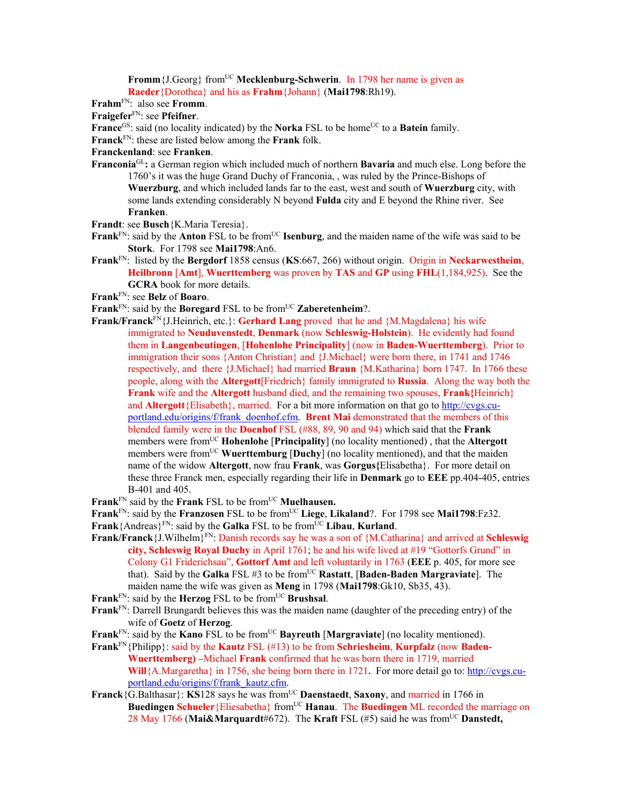**Fromm** {J.Georg} from<sup>UC</sup> **Mecklenburg-Schwerin**. In 1798 her name is given as **Raeder**{Dorothea} and his as **Frahm**{Johann} (**Mai1798**:Rh19).

**Frahm**FN: also see **Fromm**.

**Fraigefer**FN: see **Pfeifner**.

**France**<sup>GS</sup>: said (no locality indicated) by the **Norka** FSL to be home<sup>UC</sup> to a **Batein** family.

**Franck**FN: these are listed below among the **Frank** folk.

**Franckenland**: see **Franken**.

**Franconia**GL**:** a German region which included much of northern **Bavaria** and much else. Long before the 1760's it was the huge Grand Duchy of Franconia, , was ruled by the Prince-Bishops of **Wuerzburg**, and which included lands far to the east, west and south of **Wuerzburg** city, with some lands extending considerably N beyond **Fulda** city and E beyond the Rhine river. See **Franken**.

**Frandt**: see **Busch**{K.Maria Teresia}.

- **Frank**<sup>FN</sup>: said by the **Anton** FSL to be from<sup>UC</sup> **Isenburg**, and the maiden name of the wife was said to be **Stork**. For 1798 see **Mai1798**:An6.
- **Frank**FN: listed by the **Bergdorf** 1858 census (**KS**:667, 266) without origin. Origin in **Neckarwestheim**, **Heilbronn** [**Amt**], **Wuerttemberg** was proven by **TAS** and **GP** using **FHL**(1,184,925). See the **GCRA** book for more details.

**Frank**FN: see **Belz** of **Boaro**.

**Frank**<sup>FN</sup>: said by the **Boregard** FSL to be from<sup>UC</sup> **Zaberetenheim**?.

- **Frank/Franck**<sup>FN</sup>{J.Heinrich, etc.}: **Gerhard Lang** proved that he and {M.Magdalena} his wife immigrated to **Neuduvenstedt**, **Denmark** (now **Schleswig-Holstein**). He evidently had found them in **Langenbeutingen**, [**Hohenlohe Principality**] (now in **Baden-Wuerttemberg**). Prior to immigration their sons {Anton Christian} and {J.Michael} were born there, in 1741 and 1746 respectively, and there {J.Michael} had married **Braun** {M.Katharina} born 1747. In 1766 these people, along with the **Altergott**[Friedrich} family immigrated to **Russia**. Along the way both the **Frank** wife and the **Altergott** husband died, and the remaining two spouses, **Frank{**Heinrich} and **Altergott**{Elisabeth}, married. For a bit more information on that go to http://cvgs.cuportland.edu/origins/f/frank\_doenhof.cfm. **Brent Mai** demonstrated that the members of this blended family were in the **Doenhof** FSL (#88, 89, 90 and 94) which said that the **Frank** members were fromUC **Hohenlohe** [**Principality**] (no locality mentioned) , that the **Altergott** members were from<sup>UC</sup> Wuerttemburg [Duchy] (no locality mentioned), and that the maiden name of the widow **Altergott**, now frau **Frank**, was **Gorgus{**Elisabetha}. For more detail on these three Franck men, especially regarding their life in **Denmark** go to **EEE** pp.404-405, entries B-401 and 405.
- **Frank**<sup>FN</sup> said by the **Frank** FSL to be from<sup>UC</sup> **Muelhausen.**

**Frank**FN: said by the **Franzosen** FSL to be fromUC **Liege**, **Likaland**?. For 1798 see **Mai1798**:Fz32.

- **Frank**{Andreas}<sup>FN</sup>: said by the **Galka** FSL to be from<sup>UC</sup> Libau, **Kurland**.
- **Frank/Franck**{J.Wilhelm}FN: Danish records say he was a son of {M.Catharina} and arrived at **Schleswig city, Schleswig Royal Duchy** in April 1761; he and his wife lived at #19 "Gottorfs Grund" in Colony G1 Friderichsau", **Gottorf Amt** and left voluntarily in 1763 (**EEE** p. 405, for more see that). Said by the Galka FSL #3 to be from<sup>UC</sup> Rastatt, [Baden-Baden Margraviate]. The maiden name the wife was given as **Meng** in 1798 (**Mai1798**:Gk10, Sb35, 43).
- **Frank**<sup>FN</sup>: said by the **Herzog** FSL to be from<sup>UC</sup> **Brushsal**.
- **Frank**FN: Darrell Brungardt believes this was the maiden name (daughter of the preceding entry) of the wife of **Goetz** of **Herzog**.
- Frank<sup>FN</sup>: said by the **Kano** FSL to be from<sup>UC</sup> **Bayreuth** [Margraviate] (no locality mentioned).
- **Frank**FN{Philipp}: said by the **Kautz** FSL (#13) to be from **Schriesheim**, **Kurpfalz** (now **Baden-Wuerttemberg) –**Michael **Frank** confirmed that he was born there in 1719, married **Will**{A.Margaretha} in 1756, she being born there in 1721**.** For more detail go to: http://cvgs.cuportland.edu/origins/f/frank\_kautz.cfm.
- **Franck**{ $\overline{G}$ .Balthasar}: **KS**128 says he was from<sup>UC</sup> **Daenstaedt**, **Saxony**, and married in 1766 in **Buedingen Schueler** {Eliesabetha} from<sup>UC</sup> **Hanau**. The **Buedingen** ML recorded the marriage on 28 May 1766 (**Mai&Marquardt**#672). The **Kraft** FSL (#5) said he was fromUC **Danstedt,**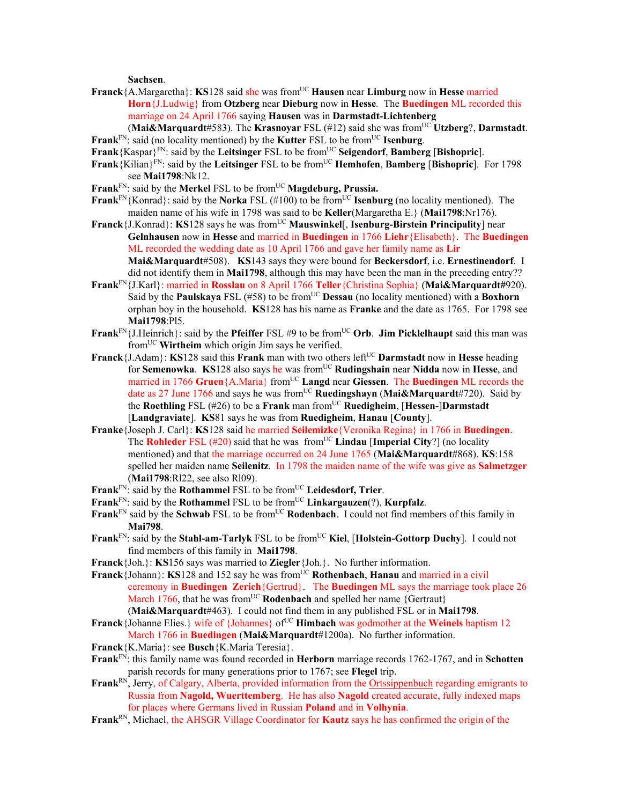**Sachsen**.

- **Franck**{A.Margaretha}: **KS**128 said she was fromUC **Hausen** near **Limburg** now in **Hesse** married **Horn**{J.Ludwig} from **Otzberg** near **Dieburg** now in **Hesse**. The **Buedingen** ML recorded this marriage on 24 April 1766 saying **Hausen** was in **Darmstadt-Lichtenberg**
- **(Mai&Marquardt**#583). The **Krasnovar** FSL (#12) said she was from<sup>UC</sup> Utzberg?, Darmstadt. **Frank**<sup>FN</sup>: said (no locality mentioned) by the **Kutter** FSL to be from<sup>UC</sup> **Isenburg**.
- **Frank**{Kaspar}FN: said by the **Leitsinger** FSL to be fromUC **Seigendorf**, **Bamberg** [**Bishopric**].
- **Frank**{Kilian}FN: said by the **Leitsinger** FSL to be fromUC **Hemhofen**, **Bamberg** [**Bishopric**]. For 1798 see **Mai1798**:Nk12.
- **Frank**<sup>FN</sup>: said by the **Merkel** FSL to be from<sup>UC</sup> **Magdeburg, Prussia.**
- **Frank**FN{Konrad}: said by the **Norka** FSL (#100) to be from<sup>UC</sup> **Isenburg** (no locality mentioned). The maiden name of his wife in 1798 was said to be **Keller**(Margaretha E.} (**Mai1798**:Nr176).
- **Franck**{J.Konrad}: **KS**128 says he was from<sup>UC</sup> **Mauswinkel**[, **Isenburg-Birstein Principality**] near **Gelnhausen** now in **Hesse** and married in **Buedingen** in 1766 **Liehr**{Elisabeth}. The **Buedingen** ML recorded the wedding date as 10 April 1766 and gave her family name as **Lir Mai&Marquardt**#508). **KS**143 says they were bound for **Beckersdorf**, i.e. **Ernestinendorf**. I did not identify them in **Mai1798**, although this may have been the man in the preceding entry??
- **Frank**FN{J.Karl}: married in **Rosslau** on 8 April 1766 **Teller**{Christina Sophia} (**Mai&Marquardt#**920). Said by the **Paulskaya** FSL (#58) to be from<sup>UC</sup> **Dessau** (no locality mentioned) with a **Boxhorn** orphan boy in the household. **KS**128 has his name as **Franke** and the date as 1765. For 1798 see **Mai1798**:Pl5.
- **Frank**FN{J.Heinrich}: said by the **Pfeiffer** FSL #9 to be fromUC **Orb**. **Jim Picklelhaupt** said this man was fromUC **Wirtheim** which origin Jim says he verified.
- **Franck** ${J.Adam}$ : **KS**128 said this **Frank** man with two others left<sup>UC</sup> Darmstadt now in Hesse heading for **Semenowka**. **KS**128 also says he was fromUC **Rudingshain** near **Nidda** now in **Hesse**, and married in 1766 Gruen<sup>{A.Maria}</sup> from<sup>UC</sup> **Langd** near Giessen. The **Buedingen** ML records the date as 27 June 1766 and says he was fromUC **Ruedingshayn** (**Mai&Marquardt**#720). Said by the **Roethling** FSL (#26) to be a **Frank** man fromUC **Ruedigheim**, [**Hessen**-]**Darmstadt**  [**Landgraviate**]. **KS**81 says he was from **Ruedigheim**, **Hanau** [**County**].
- **Franke**{Joseph J. Carl}: **KS**128 said he married **Seilemizke**{Veronika Regina} in 1766 in **Buedingen**. The **Rohleder** FSL  $(\#20)$  said that he was from<sup>UC</sup> **Lindau** [Imperial City?] (no locality mentioned) and that the marriage occurred on 24 June 1765 (**Mai&Marquardt**#868). **KS**:158 spelled her maiden name **Seilenitz**. In 1798 the maiden name of the wife was give as **Salmetzger** (**Mai1798**:Rl22, see also Rl09).
- **Frank**<sup>FN</sup>: said by the **Rothammel** FSL to be from<sup>UC</sup> Leidesdorf, Trier.
- Frank<sup>FN</sup>: said by the **Rothammel** FSL to be from<sup>UC</sup> **Linkargauzen**(?), **Kurpfalz**.
- **Frank**<sup>FN</sup> said by the **Schwab** FSL to be from<sup>UC</sup> **Rodenbach**. I could not find members of this family in **Mai798**.
- **Frank**<sup>FN</sup>: said by the **Stahl-am-Tarlyk** FSL to be from<sup>UC</sup> Kiel, [Holstein-Gottorp Duchy]. I could not find members of this family in **Mai1798**.
- **Franck**{Joh.}: **KS**156 says was married to **Ziegler**{Joh.}. No further information.
- **Franck**{Johann}: **KS**128 and 152 say he was fromUC **Rothenbach**, **Hanau** and married in a civil ceremony in **Buedingen Zerich**{Gertrud}. The **Buedingen** ML says the marriage took place 26 March 1766, that he was from<sup>UC</sup> **Rodenbach** and spelled her name {Gertraut} (**Mai&Marquardt**#463). I could not find them in any published FSL or in **Mai1798**.
- **Franck**{Johanne Elies.} wife of {Johannes} of<sup>UC</sup> **Himbach** was godmother at the **Weinels** baptism 12 March 1766 in **Buedingen** (**Mai&Marquardt**#1200a). No further information.
- **Franck**{K.Maria}: see **Busch**{K.Maria Teresia}.
- **Frank**FN: this family name was found recorded in **Herborn** marriage records 1762-1767, and in **Schotten** parish records for many generations prior to 1767; see **Flegel** trip.
- Frank<sup>RN</sup>, Jerry, of Calgary, Alberta, provided information from the Ortssippenbuch regarding emigrants to Russia from **Nagold, Wuerttemberg**. He has also **Nagold** created accurate, fully indexed maps for places where Germans lived in Russian **Poland** and in **Volhynia**.
- **Frank**RN, Michael, the AHSGR Village Coordinator for **Kautz** says he has confirmed the origin of the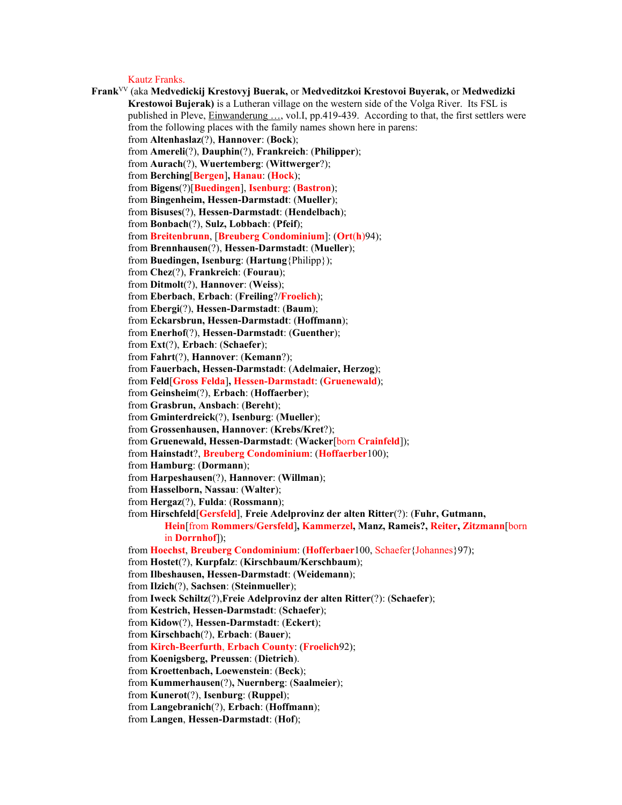Kautz Franks.

**Frank**VV (aka **Medvedickij Krestovyj Buerak,** or **Medveditzkoi Krestovoi Buyerak,** or **Medwedizki Krestowoi Bujerak)** is a Lutheran village on the western side of the Volga River. Its FSL is published in Pleve, **Einwanderung** ..., vol.I, pp.419-439. According to that, the first settlers were from the following places with the family names shown here in parens: from **Altenhaslaz**(?), **Hannover**: (**Bock**); from **Amereli**(?), **Dauphin**(?), **Frankreich**: (**Philipper**); from **Aurach**(?), **Wuertemberg**: (**Wittwerger**?); from **Berching**[**Bergen**]**, Hanau**: (**Hock**); from **Bigens**(?)[**Buedingen**], **Isenburg**: (**Bastron**); from **Bingenheim, Hessen-Darmstadt**: (**Mueller**); from **Bisuses**(?), **Hessen-Darmstadt**: (**Hendelbach**); from **Bonbach**(?), **Sulz, Lobbach**: (**Pfeif**); from **Breitenbrunn**, [**Breuberg Condominium**]: (**Ort**(**h**)94); from **Brennhausen**(?), **Hessen-Darmstadt**: (**Mueller**); from **Buedingen, Isenburg**: (**Hartung**{Philipp}); from **Chez**(?), **Frankreich**: (**Fourau**); from **Ditmolt**(?), **Hannover**: (**Weiss**); from **Eberbach**, **Erbach**: (**Freiling**?/**Froelich**); from **Ebergi**(?), **Hessen-Darmstadt**: (**Baum**); from **Eckarsbrun, Hessen-Darmstadt**: (**Hoffmann**); from **Enerhof**(?), **Hessen-Darmstadt**: (**Guenther**); from **Ext**(?), **Erbach**: (**Schaefer**); from **Fahrt**(?), **Hannover**: (**Kemann**?); from **Fauerbach, Hessen-Darmstadt**: (**Adelmaier, Herzog**); from **Feld**[**Gross Felda**]**, Hessen-Darmstadt**: (**Gruenewald**); from **Geinsheim**(?), **Erbach**: (**Hoffaerber**); from **Grasbrun, Ansbach**: (**Bereht**); from **Gminterdreick**(?), **Isenburg**: (**Mueller**); from **Grossenhausen, Hannover**: (**Krebs/Kret**?); from **Gruenewald, Hessen-Darmstadt**: (**Wacker**[born **Crainfeld**]); from **Hainstadt**?, **Breuberg Condominium**: (**Hoffaerber**100); from **Hamburg**: (**Dormann**); from **Harpeshausen**(?), **Hannover**: (**Willman**); from **Hasselborn, Nassau**: (**Walter**); from **Hergaz**(?), **Fulda**: (**Rossmann**); from **Hirschfeld**[**Gersfeld**], **Freie Adelprovinz der alten Ritter**(?): (**Fuhr, Gutmann, Hein**[from **Rommers/Gersfeld**]**, Kammerzel, Manz, Rameis?, Reiter, Zitzmann**[born in **Dorrnhof**]); from **Hoechst**, **Breuberg Condominium**: (**Hofferbaer**100, Schaefer{Johannes}97); from **Hostet**(?), **Kurpfalz**: (**Kirschbaum/Kerschbaum**); from **Ilbeshausen, Hessen-Darmstadt**: (**Weidemann**); from **Ilzich**(?), **Sachsen**: (**Steinmueller**); from **Iweck Schiltz**(?),**Freie Adelprovinz der alten Ritter**(?): (**Schaefer**); from **Kestrich, Hessen-Darmstadt**: (**Schaefer**); from **Kidow**(?), **Hessen-Darmstadt**: (**Eckert**); from **Kirschbach**(?), **Erbach**: (**Bauer**); from **Kirch-Beerfurth**, **Erbach County**: (**Froelich**92); from **Koenigsberg, Preussen**: (**Dietrich**). from **Kroettenbach, Loewenstein**: (**Beck**); from **Kummerhausen**(?)**, Nuernberg**: (**Saalmeier**); from **Kunerot**(?), **Isenburg**: (**Ruppel**); from **Langebranich**(?), **Erbach**: (**Hoffmann**); from **Langen**, **Hessen-Darmstadt**: (**Hof**);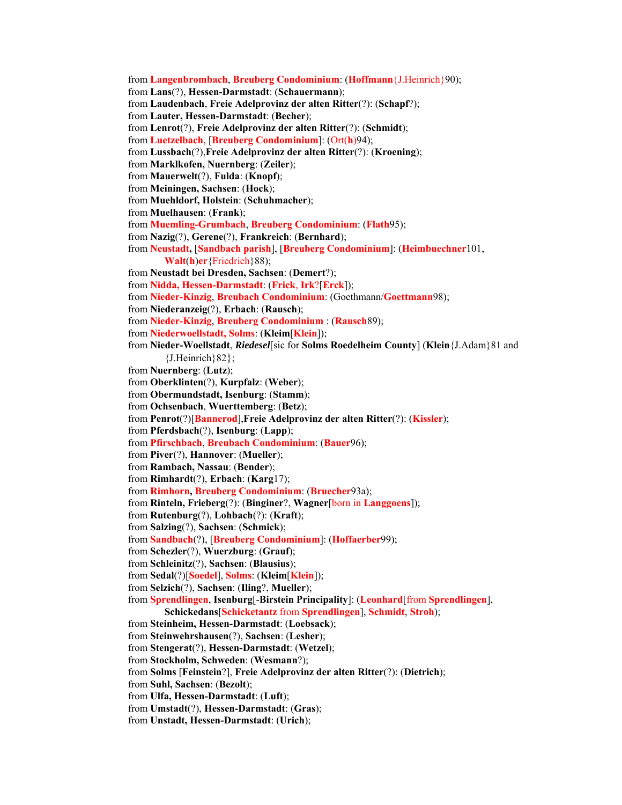from **Langenbrombach**, **Breuberg Condominium**: (**Hoffmann**{J.Heinrich}90); from **Lans**(?), **Hessen-Darmstadt**: (**Schauermann**); from **Laudenbach**, **Freie Adelprovinz der alten Ritter**(?): (**Schapf**?); from **Lauter, Hessen-Darmstadt**: (**Becher**); from **Lenrot**(?), **Freie Adelprovinz der alten Ritter**(?): (**Schmidt**); from **Luetzelbach**, [**Breuberg Condominium**]: (Ort(**h**)94); from **Lussbach**(?),**Freie Adelprovinz der alten Ritter**(?): (**Kroening**); from **Marklkofen, Nuernberg**: (**Zeiler**); from **Mauerwelt**(?), **Fulda**: (**Knopf**); from **Meiningen, Sachsen**: (**Hock**); from **Muehldorf, Holstein**: (**Schuhmacher**); from **Muelhausen**: (**Frank**); from **Muemling-Grumbach**, **Breuberg Condominium**: (**Flath**95); from **Nazig**(?), **Gerene**(?), **Frankreich**: (**Bernhard**); from **Neustadt,** [**Sandbach parish**], [**Breuberg Condominium**]: (**Heimbuechner**101, **Walt**(**h**)**er**{Friedrich}88); from **Neustadt bei Dresden, Sachsen**: (**Demert**?); from **Nidda, Hessen-Darmstadt**: (**Frick**, **Irk**?[**Erck**]); from **Nieder-Kinzig**, **Breubach Condominium**: (Goethmann/**Goettmann**98); from **Niederanzeig**(?), **Erbach**: (**Rausch**); from **Nieder-Kinzig**, **Breuberg Condominium** : (**Rausch**89); from **Niederwoellstadt, Solms**: (**Kleim**[**Klein**]); from **Nieder-Woellstadt**, *Riedesel*[sic for **Solms Roedelheim County**] (**Klein**{J.Adam}81 and  ${J.Heinrich}82$ ; from **Nuernberg**: (**Lutz**); from **Oberklinten**(?), **Kurpfalz**: (**Weber**); from **Obermundstadt, Isenburg**: (**Stamm**); from **Ochsenbach**, **Wuerttemberg**: (**Betz**); from **Penrot**(?)[**Bannerod**],**Freie Adelprovinz der alten Ritter**(?): (**Kissler**); from **Pferdsbach**(?), **Isenburg**: (**Lapp**); from **Pfirschbach**, **Breubach Condominium**: (**Bauer**96); from **Piver**(?), **Hannover**: (**Mueller**); from **Rambach, Nassau**: (**Bender**); from **Rimhardt**(?), **Erbach**: (**Karg**17); from **Rimhorn, Breuberg Condominium**: (**Bruecher**93a); from **Rinteln, Frieberg**(?): (**Binginer**?, **Wagner**[born in **Langgoens**]); from **Rutenburg**(?), **Lohbach**(?): (**Kraft**); from **Salzing**(?), **Sachsen**: (**Schmick**); from **Sandbach**(?), [**Breuberg Condominium**]: (**Hoffaerber**99); from **Schezler**(?), **Wuerzburg**: (**Grauf**); from **Schleinitz**(?), **Sachsen**: (**Blausius**); from **Sedal**(?)[**Soedel**], **Solms**: (**Kleim**[**Klein**]); from **Selzich**(?), **Sachsen**: (**Iling**?, **Mueller**); from **Sprendlingen**, **Isenburg**[-**Birstein Principality**]: (**Leonhard**[from **Sprendlingen**], **Schickedans**[**Schicketantz** from **Sprendlingen**], **Schmidt**, **Stroh**); from **Steinheim, Hessen-Darmstadt**: (**Loebsack**); from **Steinwehrshausen**(?), **Sachsen**: (**Lesher**); from **Stengerat**(?), **Hessen-Darmstadt**: (**Wetzel**); from **Stockholm, Schweden**: (**Wesmann**?); from **Solms** [**Feinstein**?], **Freie Adelprovinz der alten Ritter**(?): (**Dietrich**); from **Suhl, Sachsen**: (**Bezolt**); from **Ulfa, Hessen-Darmstadt**: (**Luft**); from **Umstadt**(?), **Hessen-Darmstadt**: (**Gras**); from **Unstadt, Hessen-Darmstadt**: (**Urich**);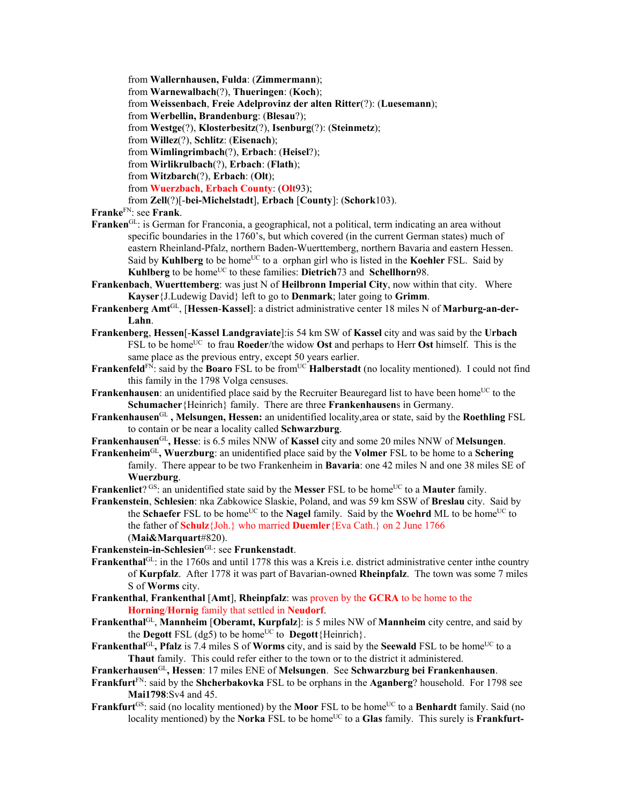from **Wallernhausen, Fulda**: (**Zimmermann**);

from **Warnewalbach**(?), **Thueringen**: (**Koch**);

from **Weissenbach**, **Freie Adelprovinz der alten Ritter**(?): (**Luesemann**);

from **Werbellin, Brandenburg**: (**Blesau**?);

from **Westge**(?), **Klosterbesitz**(?), **Isenburg**(?): (**Steinmetz**);

from **Willez**(?), **Schlitz**: (**Eisenach**);

from **Wimlingrimbach**(?), **Erbach**: (**Heisel**?);

from **Wirlikrulbach**(?), **Erbach**: (**Flath**);

from **Witzbarch**(?), **Erbach**: (**Olt**);

from **Wuerzbach**, **Erbach County**: (**Olt**93);

from **Zell**(?)[-**bei-Michelstadt**], **Erbach** [**County**]: (**Schork**103).

**Franke**FN: see **Frank**.

- **Franken**<sup>GL</sup>: is German for Franconia, a geographical, not a political, term indicating an area without specific boundaries in the 1760's, but which covered (in the current German states) much of eastern Rheinland-Pfalz, northern Baden-Wuerttemberg, northern Bavaria and eastern Hessen. Said by **Kuhlberg** to be home<sup>UC</sup> to a orphan girl who is listed in the **Koehler** FSL. Said by **Kuhlberg** to be home<sup>UC</sup> to these families: **Dietrich**<sup>73</sup> and **Schellhorn**98.
- **Frankenbach**, **Wuerttemberg**: was just N of **Heilbronn Imperial City**, now within that city. Where **Kayser**{J.Ludewig David} left to go to **Denmark**; later going to **Grimm**.
- **Frankenberg Amt**GL, [**Hessen**-**Kassel**]: a district administrative center 18 miles N of **Marburg-an-der-Lahn**.
- **Frankenberg**, **Hessen**[-**Kassel Landgraviate**]:is 54 km SW of **Kassel** city and was said by the **Urbach** FSL to be home<sup>UC</sup> to frau **Roeder**/the widow **Ost** and perhaps to Herr **Ost** himself. This is the same place as the previous entry, except 50 years earlier.
- **Frankenfeld**<sup>FN</sup>: said by the **Boaro** FSL to be from<sup>UC</sup> **Halberstadt** (no locality mentioned). I could not find this family in the 1798 Volga censuses.
- **Frankenhausen:** an unidentified place said by the Recruiter Beauregard list to have been home<sup>UC</sup> to the **Schumacher**{Heinrich} family. There are three **Frankenhausen**s in Germany.
- **Frankenhausen**GL **, Melsungen, Hessen:** an unidentified locality,area or state, said by the **Roethling** FSL to contain or be near a locality called **Schwarzburg**.
- **Frankenhausen**GL**, Hesse**: is 6.5 miles NNW of **Kassel** city and some 20 miles NNW of **Melsungen**.
- **Frankenheim**GL**, Wuerzburg**: an unidentified place said by the **Volmer** FSL to be home to a **Schering**  family. There appear to be two Frankenheim in **Bavaria**: one 42 miles N and one 38 miles SE of **Wuerzburg**.

**Frankenlict**? <sup>GS</sup>: an unidentified state said by the **Messer** FSL to be home<sup>UC</sup> to a **Mauter** family.

**Frankenstein**, **Schlesien**: nka Zabkowice Slaskie, Poland, and was 59 km SSW of **Breslau** city. Said by the **Schaefer** FSL to be home<sup>UC</sup> to the **Nagel** family. Said by the **Woehrd** ML to be home<sup>UC</sup> to the father of **Schulz**{Joh.} who married **Duemler**{Eva Cath.} on 2 June 1766 (**Mai&Marquart**#820).

**Frankenstein-in-Schlesien**GL: see **Frunkenstadt**.

- **Frankenthal**<sup>GL</sup>: in the 1760s and until 1778 this was a Kreis i.e. district administrative center inthe country of **Kurpfalz**. After 1778 it was part of Bavarian-owned **Rheinpfalz**. The town was some 7 miles S of **Worms** city.
- **Frankenthal**, **Frankenthal** [**Amt**], **Rheinpfalz**: was proven by the **GCRA** to be home to the **Horning**/**Hornig** family that settled in **Neudorf**.
- **Frankenthal**GL, **Mannheim** [**Oberamt, Kurpfalz**]: is 5 miles NW of **Mannheim** city centre, and said by the **Degott** FSL (dg5) to be home<sup>UC</sup> to **Degott**{Heinrich}.
- **Frankenthal**<sup>GL</sup>, **Pfalz** is 7.4 miles S of **Worms** city, and is said by the **Seewald** FSL to be home<sup>UC</sup> to a **Thaut** family. This could refer either to the town or to the district it administered.

## **Frankerhausen**GL**, Hessen**: 17 miles ENE of **Melsungen**. See **Schwarzburg bei Frankenhausen**.

- **Frankfurt**FN: said by the **Shcherbakovka** FSL to be orphans in the **Aganberg**? household. For 1798 see **Mai1798**:Sv4 and 45.
- **Frankfurt**<sup>GS</sup>: said (no locality mentioned) by the **Moor** FSL to be home<sup>UC</sup> to a **Benhardt** family. Said (no locality mentioned) by the **Norka** FSL to be home<sup>UC</sup> to a **Glas** family. This surely is **Frankfurt-**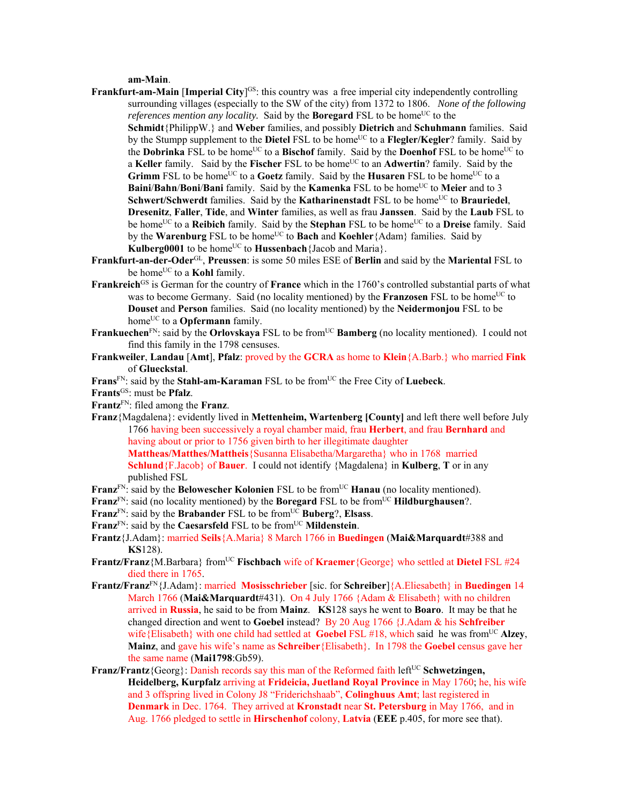## **am-Main**.

- **Frankfurt-am-Main [Imperial City]<sup>GS</sup>:** this country was a free imperial city independently controlling surrounding villages (especially to the SW of the city) from 1372 to 1806. *None of the following references mention any locality.* Said by the **Boregard** FSL to be home<sup>UC</sup> to the **Schmidt**{PhilippW.} and **Weber** families, and possibly **Dietrich** and **Schuhmann** families. Said by the Stumpp supplement to the **Dietel** FSL to be home<sup>UC</sup> to a **Flegler/Kegler**? family. Said by the **Dobrinka** FSL to be home<sup>UC</sup> to a **Bischof** family. Said by the **Doenhof** FSL to be home<sup>UC</sup> to a **Keller** family. Said by the **Fischer** FSL to be homeUC to an **Adwertin**? family. Said by the **Grimm** FSL to be home<sup>UC</sup> to a **Goetz** family. Said by the **Husaren** FSL to be home<sup>UC</sup> to a **Baini/Bahn/Boni/Bani** family. Said by the **Kamenka** FSL to be home<sup>UC</sup> to **Meier** and to 3 **Schwert/Schwerdt** families. Said by the **Katharinenstadt** FSL to be home<sup>UC</sup> to **Brauriedel**, **Dresenitz**, **Faller**, **Tide**, and **Winter** families, as well as frau **Janssen**. Said by the **Laub** FSL to be home<sup>UC</sup> to a **Reibich** family. Said by the **Stephan** FSL to be home<sup>UC</sup> to a **Dreise** family. Said by the **Warenburg** FSL to be home<sup>UC</sup> to **Bach** and **Koehler**{Adam} families. Said by Kulberg0001 to be home<sup>UC</sup> to Hussenbach {Jacob and Maria}.
- **Frankfurt-an-der-Oder**GL, **Preussen**: is some 50 miles ESE of **Berlin** and said by the **Mariental** FSL to be home<sup>UC</sup> to a **Kohl** family.
- **Frankreich**<sup>GS</sup> is German for the country of **France** which in the 1760's controlled substantial parts of what was to become Germany. Said (no locality mentioned) by the **Franzosen** FSL to be home<sup>UC</sup> to **Douset** and **Person** families. Said (no locality mentioned) by the **Neidermonjou** FSL to be home<sup>UC</sup> to a **Opfermann** family.
- **Frankuechen**<sup>FN</sup>: said by the **Orlovskaya** FSL to be from<sup>UC</sup> **Bamberg** (no locality mentioned). I could not find this family in the 1798 censuses.
- **Frankweiler**, **Landau** [**Amt**], **Pfalz**: proved by the **GCRA** as home to **Klein**{A.Barb.} who married **Fink** of **Glueckstal**.

Frans<sup>FN</sup>: said by the **Stahl-am-Karaman** FSL to be from<sup>UC</sup> the Free City of Luebeck.

**Frants**GS: must be **Pfalz**.

**Frantz**FN: filed among the **Franz**.

published FSL

- **Franz**{Magdalena}: evidently lived in **Mettenheim, Wartenberg [County]** and left there well before July 1766 having been successively a royal chamber maid, frau **Herbert**, and frau **Bernhard** and having about or prior to 1756 given birth to her illegitimate daughter **Mattheas/Matthes/Mattheis**{Susanna Elisabetha/Margaretha} who in 1768 married **Schlund**{F.Jacob} of **Bauer**. I could not identify {Magdalena} in **Kulberg**, **T** or in any
- Franz<sup>FN</sup>: said by the **Belowescher Kolonien** FSL to be from<sup>UC</sup> **Hanau** (no locality mentioned).
- **Franz**<sup>FN</sup>: said (no locality mentioned) by the **Boregard** FSL to be from<sup>UC</sup> **Hildburghausen**?.
- **Franz**FN: said by the **Brabander** FSL to be fromUC **Buberg**?, **Elsass**.
- Franz<sup>FN</sup>: said by the **Caesarsfeld** FSL to be from<sup>UC</sup> Mildenstein.
- **Frantz**{J.Adam}: married **Seils**{A.Maria} 8 March 1766 in **Buedingen** (**Mai&Marquardt**#388 and **KS**128).
- **Frantz/Franz**{M.Barbara} fromUC **Fischbach** wife of **Kraemer**{George} who settled at **Dietel** FSL #24 died there in 1765.
- **Frantz/Franz**FN{J.Adam}: married **Mosisschrieber** [sic. for **Schreiber**]{A.Eliesabeth} in **Buedingen** 14 March 1766 (**Mai&Marquardt**#431). On 4 July 1766 {Adam & Elisabeth} with no children arrived in **Russia**, he said to be from **Mainz**. **KS**128 says he went to **Boaro**. It may be that he changed direction and went to **Goebel** instead? By 20 Aug 1766 {J.Adam & his **Schfreiber**  wife{Elisabeth} with one child had settled at **Goebel FSL #18**, which said he was from<sup>UC</sup> Alzey, **Mainz**, and gave his wife's name as **Schreiber**{Elisabeth}. In 1798 the **Goebel** census gave her the same name (**Mai1798**:Gb59).
- **Franz/Frantz** {Georg}: Danish records say this man of the Reformed faith left<sup>UC</sup> Schwetzingen, **Heidelberg, Kurpfalz** arriving at **Frideicia, Juetland Royal Province** in May 1760; he, his wife and 3 offspring lived in Colony J8 "Friderichshaab", **Colinghuus Amt**; last registered in **Denmark** in Dec. 1764. They arrived at **Kronstadt** near **St. Petersburg** in May 1766, and in Aug. 1766 pledged to settle in **Hirschenhof** colony, **Latvia** (**EEE** p.405, for more see that).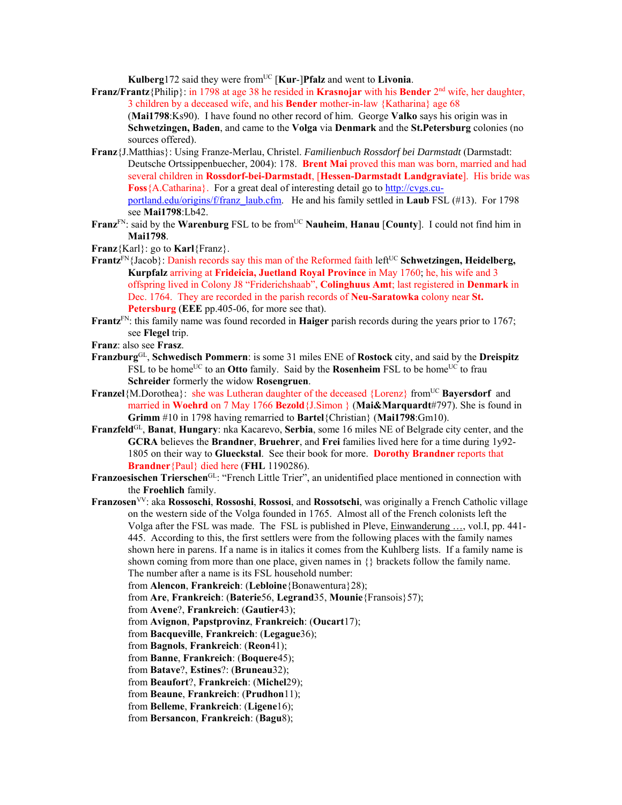**Kulberg** 172 said they were from<sup>UC</sup> [**Kur-**]**Pfalz** and went to **Livonia**.

**Franz/Frantz**{Philip}: in 1798 at age 38 he resided in **Krasnojar** with his **Bender** 2nd wife, her daughter, 3 children by a deceased wife, and his **Bender** mother-in-law {Katharina} age 68 (**Mai1798**:Ks90). I have found no other record of him. George **Valko** says his origin was in **Schwetzingen, Baden**, and came to the **Volga** via **Denmark** and the **St.Petersburg** colonies (no sources offered).

- **Franz**{J.Matthias}: Using Franze-Merlau, Christel. *Familienbuch Rossdorf bei Darmstadt* (Darmstadt: Deutsche Ortssippenbuecher, 2004): 178. **Brent Mai** proved this man was born, married and had several children in **Rossdorf-bei-Darmstadt**, [**Hessen-Darmstadt Landgraviate**]. His bride was **Foss**{A.Catharina}. For a great deal of interesting detail go to http://cvgs.cuportland.edu/origins/f/franz\_laub.cfm. He and his family settled in **Laub** FSL (#13). For 1798 see **Mai1798**:Lb42.
- Franz<sup>FN</sup>: said by the Warenburg FSL to be from<sup>UC</sup> Nauheim, Hanau [County]. I could not find him in **Mai1798**.

**Franz**{Karl}: go to **Karl**{Franz}.

- **Frantz**<sup>FN</sup>{Jacob}: Danish records say this man of the Reformed faith left<sup>UC</sup> Schwetzingen, Heidelberg, **Kurpfalz** arriving at **Frideicia, Juetland Royal Province** in May 1760; he, his wife and 3 offspring lived in Colony J8 "Friderichshaab", **Colinghuus Amt**; last registered in **Denmark** in Dec. 1764. They are recorded in the parish records of **Neu-Saratowka** colony near **St. Petersburg** (**EEE** pp.405-06, for more see that).
- **Frantz**FN: this family name was found recorded in **Haiger** parish records during the years prior to 1767; see **Flegel** trip.
- **Franz**: also see **Frasz**.
- **Franzburg**GL, **Schwedisch Pommern**: is some 31 miles ENE of **Rostock** city, and said by the **Dreispitz** FSL to be home<sup>UC</sup> to an **Otto** family. Said by the **Rosenheim** FSL to be home<sup>UC</sup> to frau **Schreider** formerly the widow **Rosengruen**.
- **Franzel**{M.Dorothea}: she was Lutheran daughter of the deceased {Lorenz} from<sup>UC</sup> **Bayersdorf** and married in **Woehrd** on 7 May 1766 **Bezold**{J.Simon } (**Mai&Marquardt**#797). She is found in **Grimm** #10 in 1798 having remarried to **Bartel**{Christian} (**Mai1798**:Gm10).
- **Franzfeld**GL, **Banat**, **Hungary**: nka Kacarevo, **Serbia**, some 16 miles NE of Belgrade city center, and the **GCRA** believes the **Brandner**, **Bruehrer**, and **Frei** families lived here for a time during 1y92- 1805 on their way to **Glueckstal**. See their book for more. **Dorothy Brandner** reports that **Brandner**{Paul} died here (**FHL** 1190286).
- **Franzoesischen Trierschen**GL: "French Little Trier", an unidentified place mentioned in connection with the **Froehlich** family.
- **Franzosen**VV: aka **Rossoschi**, **Rossoshi**, **Rossosi**, and **Rossotschi**, was originally a French Catholic village on the western side of the Volga founded in 1765. Almost all of the French colonists left the Volga after the FSL was made. The FSL is published in Pleve, Einwanderung …, vol.I, pp. 441- 445. According to this, the first settlers were from the following places with the family names shown here in parens. If a name is in italics it comes from the Kuhlberg lists. If a family name is shown coming from more than one place, given names in  $\{\}$  brackets follow the family name. The number after a name is its FSL household number:
	- from **Alencon**, **Frankreich**: (**Lebloine**{Bonawentura}28);
	- from **Are**, **Frankreich**: (**Baterie**56, **Legrand**35, **Mounie**{Fransois}57);
	- from **Avene**?, **Frankreich**: (**Gautier**43);
	- from **Avignon**, **Papstprovinz**, **Frankreich**: (**Oucart**17);
	- from **Bacqueville**, **Frankreich**: (**Legague**36);
	- from **Bagnols**, **Frankreich**: (**Reon**41);
	- from **Banne**, **Frankreich**: (**Boquere**45);
	- from **Batave**?, **Estines**?: (**Bruneau**32);
	- from **Beaufort**?, **Frankreich**: (**Michel**29);
	- from **Beaune**, **Frankreich**: (**Prudhon**11);
	- from **Belleme**, **Frankreich**: (**Ligene**16);
	- from **Bersancon**, **Frankreich**: (**Bagu**8);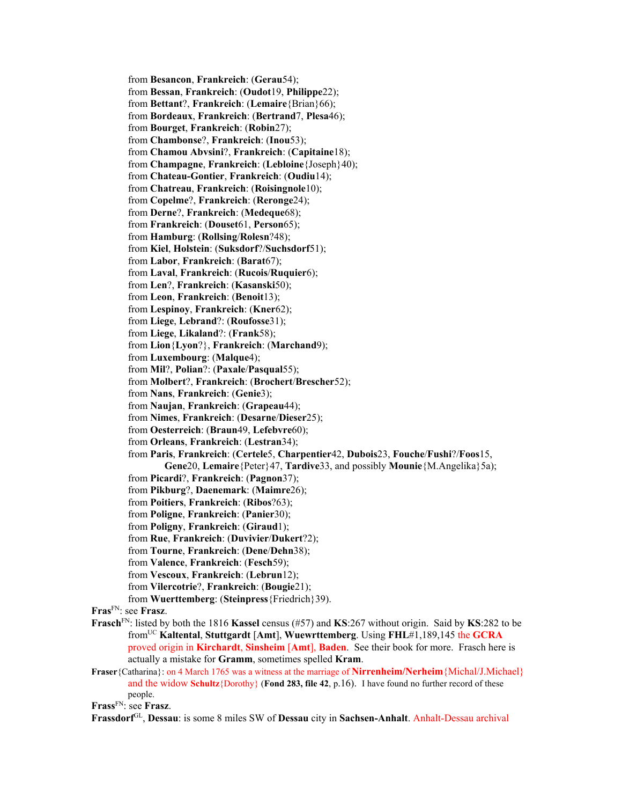from **Besancon**, **Frankreich**: (**Gerau**54); from **Bessan**, **Frankreich**: (**Oudot**19, **Philippe**22); from **Bettant**?, **Frankreich**: (**Lemaire**{Brian}66); from **Bordeaux**, **Frankreich**: (**Bertrand**7, **Plesa**46); from **Bourget**, **Frankreich**: (**Robin**27); from **Chambonse**?, **Frankreich**: (**Inou**53); from **Chamou Abvsini**?, **Frankreich**: (**Capitaine**18); from **Champagne**, **Frankreich**: (**Lebloine**{Joseph}40); from **Chateau-Gontier**, **Frankreich**: (**Oudiu**14); from **Chatreau**, **Frankreich**: (**Roisingnole**10); from **Copelme**?, **Frankreich**: (**Reronge**24); from **Derne**?, **Frankreich**: (**Medeque**68); from **Frankreich**: (**Douset**61, **Person**65); from **Hamburg**: (**Rollsing**/**Rolesn**?48); from **Kiel**, **Holstein**: (**Suksdorf**?/**Suchsdorf**51); from **Labor**, **Frankreich**: (**Barat**67); from **Laval**, **Frankreich**: (**Rucois**/**Ruquier**6); from **Len**?, **Frankreich**: (**Kasanski**50); from **Leon**, **Frankreich**: (**Benoit**13); from **Lespinoy**, **Frankreich**: (**Kner**62); from **Liege**, **Lebrand**?: (**Roufosse**31); from **Liege**, **Likaland**?: (**Frank**58); from **Lion**{**Lyon**?}, **Frankreich**: (**Marchand**9); from **Luxembourg**: (**Malque**4); from **Mil**?, **Polian**?: (**Paxale**/**Pasqual**55); from **Molbert**?, **Frankreich**: (**Brochert**/**Brescher**52); from **Nans**, **Frankreich**: (**Genie**3); from **Naujan**, **Frankreich**: (**Grapeau**44); from **Nimes**, **Frankreich**: (**Desarne**/**Dieser**25); from **Oesterreich**: (**Braun**49, **Lefebvre**60); from **Orleans**, **Frankreich**: (**Lestran**34); from **Paris**, **Frankreich**: (**Certele**5, **Charpentier**42, **Dubois**23, **Fouche**/**Fushi**?/**Foos**15, **Gene**20, **Lemaire**{Peter}47, **Tardive**33, and possibly **Mounie**{M.Angelika}5a); from **Picardi**?, **Frankreich**: (**Pagnon**37); from **Pikburg**?, **Daenemark**: (**Maimre**26); from **Poitiers**, **Frankreich**: (**Ribos**?63); from **Poligne**, **Frankreich**: (**Panier**30); from **Poligny**, **Frankreich**: (**Giraud**1); from **Rue**, **Frankreich**: (**Duvivier**/**Dukert**?2); from **Tourne**, **Frankreich**: (**Dene**/**Dehn**38); from **Valence**, **Frankreich**: (**Fesch**59); from **Vescoux**, **Frankreich**: (**Lebrun**12); from **Vilercotrie**?, **Frankreich**: (**Bougie**21); from **Wuerttemberg**: (**Steinpress**{Friedrich}39). **Fras**FN: see **Frasz**. **Frasch**FN: listed by both the 1816 **Kassel** census (#57) and **KS**:267 without origin. Said by **KS**:282 to be fromUC **Kaltental**, **Stuttgardt** [**Amt**], **Wuewrttemberg**. Using **FHL**#1,189,145 the **GCRA** proved origin in **Kirchardt**, **Sinsheim** [**Amt**], **Baden**. See their book for more. Frasch here is actually a mistake for **Gramm**, sometimes spelled **Kram**. **Fraser**{Catharina}: on 4 March 1765 was a witness at the marriage of **Nirrenheim/Nerheim**{Michal/J.Michael}

and the widow **Schultz**{Dorothy} (**Fond 283, file 42**, p.16). I have found no further record of these people.

**Frass**FN: see **Frasz**.

**Frassdorf**GL, **Dessau**: is some 8 miles SW of **Dessau** city in **Sachsen-Anhalt**. Anhalt-Dessau archival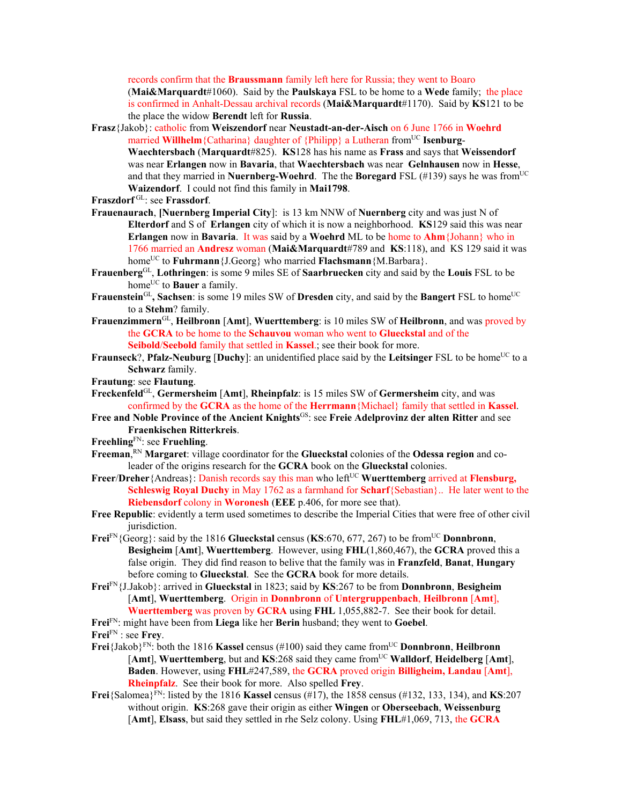records confirm that the **Braussmann** family left here for Russia; they went to Boaro (**Mai&Marquardt**#1060). Said by the **Paulskaya** FSL to be home to a **Wede** family; the place is confirmed in Anhalt-Dessau archival records (**Mai&Marquardt**#1170). Said by **KS**121 to be the place the widow **Berendt** left for **Russia**.

- **Frasz**{Jakob}: catholic from **Weiszendorf** near **Neustadt-an-der-Aisch** on 6 June 1766 in **Woehrd** married **Willhelm** {Catharina} daughter of {Philipp} a Lutheran from<sup>UC</sup> **Isenburg-Waechtersbach** (**Marquardt**#825). **KS**128 has his name as **Frass** and says that **Weissendorf** was near **Erlangen** now in **Bavaria**, that **Waechtersbach** was near **Gelnhausen** now in **Hesse**, and that they married in **Nuernberg-Woehrd**. The the **Boregard** FSL (#139) says he was from<sup>UC</sup> **Waizendorf**. I could not find this family in **Mai1798**.
- **Fraszdorf** GL: see **Frassdorf**.
- **Frauenaurach**, **[Nuernberg Imperial City**]: is 13 km NNW of **Nuernberg** city and was just N of **Elterdorf** and S of **Erlangen** city of which it is now a neighborhood. **KS**129 said this was near **Erlangen** now in **Bavaria**. It was said by a **Woehrd** ML to be home to **Ahm**{Johann} who in 1766 married an **Andresz** woman (**Mai&Marquardt**#789 and **KS**:118), and KS 129 said it was home<sup>UC</sup> to **Fuhrmann** {J.Georg} who married **Flachsmann** {M.Barbara}.
- **Frauenberg**GL, **Lothringen**: is some 9 miles SE of **Saarbruecken** city and said by the **Louis** FSL to be home<sup>UC</sup> to **Bauer** a family.
- **Frauenstein**<sup>GL</sup>, Sachsen: is some 19 miles SW of Dresden city, and said by the Bangert FSL to home<sup>UC</sup> to a **Stehm**? family.
- **Frauenzimmern**GL, **Heilbronn** [**Amt**], **Wuerttemberg**: is 10 miles SW of **Heilbronn**, and was proved by the **GCRA** to be home to the **Schauvou** woman who went to **Glueckstal** and of the **Seibold**/**Seebold** family that settled in **Kassel**.; see their book for more.
- **Fraunseck**?, **Pfalz-Neuburg** [Duchy]: an unidentified place said by the Leitsinger FSL to be home<sup>UC</sup> to a **Schwarz** family.
- **Frautung**: see **Flautung**.
- **Freckenfeld**GL, **Germersheim** [**Amt**], **Rheinpfalz**: is 15 miles SW of **Germersheim** city, and was confirmed by the **GCRA** as the home of the **Herrmann**{Michael} family that settled in **Kassel**.
- **Free and Noble Province of the Ancient Knights**GS: see **Freie Adelprovinz der alten Ritter** and see **Fraenkischen Ritterkreis**.
- **Freehling**FN: see **Fruehling**.
- **Freeman**, RN **Margaret**: village coordinator for the **Glueckstal** colonies of the **Odessa region** and coleader of the origins research for the **GCRA** book on the **Glueckstal** colonies.
- Freer/Dreher{Andreas}: Danish records say this man who left<sup>UC</sup> Wuerttemberg arrived at Flensburg, **Schleswig Royal Duchy** in May 1762 as a farmhand for **Scharf**{Sebastian}.. He later went to the **Riebensdorf** colony in **Woronesh** (**EEE** p.406, for more see that).
- **Free Republic**: evidently a term used sometimes to describe the Imperial Cities that were free of other civil jurisdiction.
- **Frei**<sup>FN</sup>{Georg}: said by the 1816 **Glueckstal** census (**KS**:670, 677, 267) to be from<sup>UC</sup> Donnbronn, **Besigheim** [**Amt**], **Wuerttemberg**. However, using **FHL**(1,860,467), the **GCRA** proved this a false origin. They did find reason to belive that the family was in **Franzfeld**, **Banat**, **Hungary** before coming to **Glueckstal**. See the **GCRA** book for more details.
- **Frei**FN{J.Jakob}: arrived in **Glueckstal** in 1823; said by **KS**:267 to be from **Donnbronn**, **Besigheim** [**Amt**], **Wuerttemberg**. Origin in **Donnbronn** of **Untergruppenbach**, **Heilbronn** [**Amt**], **Wuerttemberg** was proven by **GCRA** using **FHL** 1,055,882-7. See their book for detail.
- **Frei**FN: might have been from **Liega** like her **Berin** husband; they went to **Goebel**. **Frei**FN : see **Frey**.
- **Frei**{Jakob}FN: both the 1816 **Kassel** census (#100) said they came fromUC **Donnbronn**, **Heilbronn** [**Amt**], **Wuerttemberg**, but and **KS**:268 said they came fromUC **Walldorf**, **Heidelberg** [**Amt**], **Baden**. However, using **FHL**#247,589, the **GCRA** proved origin **Billigheim, Landau** [**Amt**], **Rheinpfalz**. See their book for more. Also spelled **Frey**.
- **Frei**{Salomea}FN: listed by the 1816 **Kassel** census (#17), the 1858 census (#132, 133, 134), and **KS**:207 without origin. **KS**:268 gave their origin as either **Wingen** or **Oberseebach**, **Weissenburg** [**Amt**], **Elsass**, but said they settled in rhe Selz colony. Using **FHL**#1,069, 713, the **GCRA**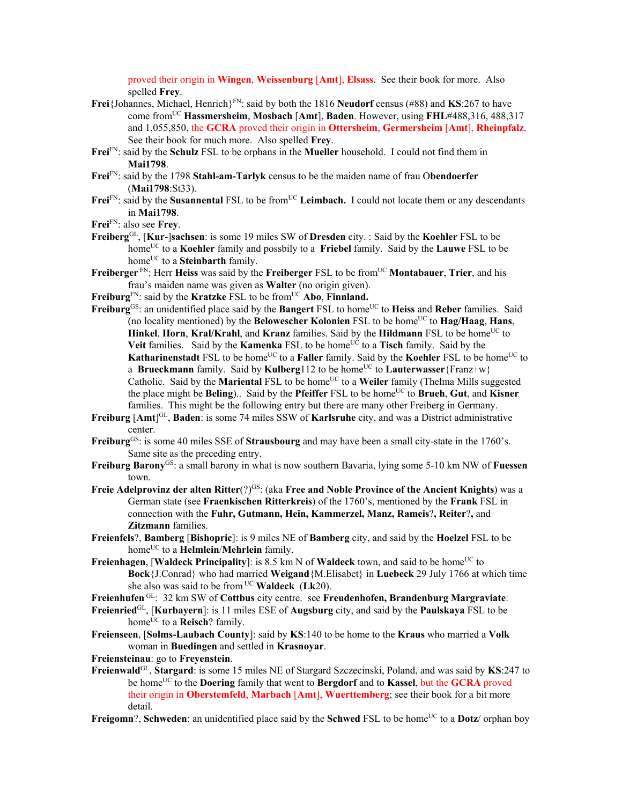proved their origin in **Wingen**, **Weissenburg** [**Amt**], **Elsass**. See their book for more. Also spelled **Frey**.

- **Frei**{Johannes, Michael, Henrich}FN: said by both the 1816 **Neudorf** census (#88) and **KS**:267 to have come fromUC **Hassmersheim**, **Mosbach** [**Amt**], **Baden**. However, using **FHL**#488,316, 488,317 and 1,055,850, the **GCRA** proved their origin in **Ottersheim**, **Germersheim** [**Amt**], **Rheinpfalz**. See their book for much more. Also spelled **Frey**.
- **Frei**FN: said by the **Schulz** FSL to be orphans in the **Mueller** household. I could not find them in **Mai1798**.
- **Frei**FN: said by the 1798 **Stahl-am-Tarlyk** census to be the maiden name of frau O**bendoerfer**  (**Mai1798**:St33).
- Frei<sup>FN</sup>: said by the **Susannental** FSL to be from<sup>UC</sup> Leimbach. I could not locate them or any descendants in **Mai1798**.

**Frei**FN: also see **Frey**.

- **Freiberg**GL, [**Kur**-]**sachsen**: is some 19 miles SW of **Dresden** city. : Said by the **Koehler** FSL to be homeUC to a **Koehler** family and possbily to a **Friebel** family. Said by the **Lauwe** FSL to be home<sup>UC</sup> to a **Steinbarth** family.
- **Freiberger** FN: Herr **Heiss** was said by the **Freiberger** FSL to be from<sup>UC</sup> **Montabauer**, **Trier**, and his frau's maiden name was given as **Walter** (no origin given).
- Freiburg<sup>FN</sup>: said by the Kratzke FSL to be from<sup>UC</sup> Abo, Finnland.
- **Freiburg**<sup>GS</sup>: an unidentified place said by the **Bangert** FSL to home<sup>UC</sup> to **Heiss** and **Reber** families. Said (no locality mentioned) by the **Belowescher Kolonien** FSL to be home<sup>UC</sup> to  $\textbf{Hag/Haag}$ , **Hans**, **Hinkel, Horn, Kral/Krahl, and Kranz families. Said by the <b>Hildmann** FSL to be home<sup>UC</sup> to **Veit** families. Said by the **Kamenka** FSL to be home<sup>UC</sup> to a **Tisch** family. Said by the **Katharinenstadt** FSL to be home<sup>UC</sup> to a **Faller** family. Said by the **Koehler** FSL to be home<sup>UC</sup> to a **Brueckmann** family. Said by **Kulberg**112 to be home<sup>UC</sup> to **Lauterwasser**{Franz+w} Catholic. Said by the **Mariental** FSL to be home<sup>UC</sup> to a **Weiler** family (Thelma Mills suggested the place might be **Beling**).. Said by the **Pfeiffer** FSL to be home<sup>UC</sup> to **Brueh**, Gut, and **Kisner** families. This might be the following entry but there are many other Freiberg in Germany.
- **Freiburg** [**Amt**] GL, **Baden**: is some 74 miles SSW of **Karlsruhe** city, and was a District administrative center.
- Freiburg<sup>GS</sup>: is some 40 miles SSE of Strausbourg and may have been a small city-state in the 1760's. Same site as the preceding entry.
- **Freiburg Barony**GS: a small barony in what is now southern Bavaria, lying some 5-10 km NW of **Fuessen** town.
- **Freie Adelprovinz der alten Ritter**(?)GS: (aka **Free and Noble Province of the Ancient Knights**) was a German state (see **Fraenkischen Ritterkreis**) of the 1760's, mentioned by the **Frank** FSL in connection with the **Fuhr, Gutmann, Hein, Kammerzel, Manz, Rameis**?**, Reiter**?**,** and **Zitzmann** families.
- **Freienfels**?, **Bamberg** [**Bishopric**]: is 9 miles NE of **Bamberg** city, and said by the **Hoelzel** FSL to be home<sup>UC</sup> to a **Helmlein/Mehrlein** family.
- Freienhagen, [Waldeck Principality]: is 8.5 km N of Waldeck town, and said to be home<sup>UC</sup> to **Bock**{J.Conrad} who had married **Weigand**{M.Elisabet} in **Luebeck** 29 July 1766 at which time she also was said to be from UC **Waldeck** (**Lk**20).
- **Freienhufen** GL: 32 km SW of **Cottbus** city centre. see **Freudenhofen, Brandenburg Margraviate**:
- **Freienried**GL, [**Kurbayern**]: is 11 miles ESE of **Augsburg** city, and said by the **Paulskaya** FSL to be home<sup>UC</sup> to a **Reisch**? family.
- **Freienseen**, [**Solms-Laubach County**]: said by **KS**:140 to be home to the **Kraus** who married a **Volk** woman in **Buedingen** and settled in **Krasnoyar**.

**Freiensteinau**: go to **Freyenstein**.

- **Freienwald**GL, **Stargard**: is some 15 miles NE of Stargard Szczecinski, Poland, and was said by **KS**:247 to be homeUC to the **Doering** family that went to **Bergdorf** and to **Kassel**, but the **GCRA** proved their origin in **Oberstemfeld**, **Marbach** [**Amt**], **Wuerttemberg**; see their book for a bit more detail.
- **Freigomn**?, **Schweden**: an unidentified place said by the **Schwed** FSL to be home<sup>UC</sup> to a **Dotz**/ orphan boy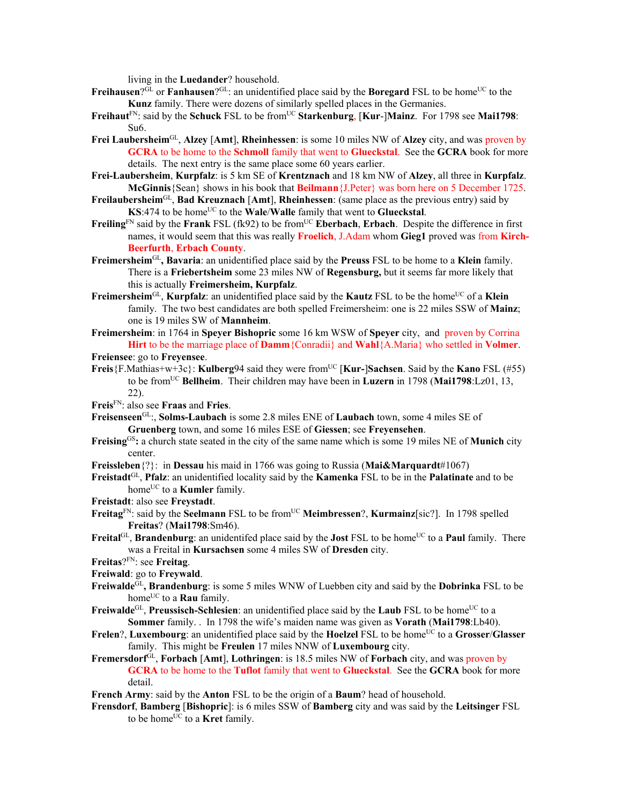living in the **Luedander**? household.

- **Freihausen**?GL or **Fanhausen**?GL: an unidentified place said by the **Boregard** FSL to be home<sup>UC</sup> to the **Kunz** family. There were dozens of similarly spelled places in the Germanies.
- **Freihaut**<sup>FN</sup>: said by the **Schuck** FSL to be from<sup>UC</sup> **Starkenburg**, [**Kur-**]Mainz. For 1798 see Mai1798: Su6.
- **Frei Laubersheim**GL, **Alzey** [**Amt**], **Rheinhessen**: is some 10 miles NW of **Alzey** city, and was proven by **GCRA** to be home to the **Schmoll** family that went to **Glueckstal**. See the **GCRA** book for more details. The next entry is the same place some 60 years earlier.
- **Frei-Laubersheim**, **Kurpfalz**: is 5 km SE of **Krentznach** and 18 km NW of **Alzey**, all three in **Kurpfalz**. **McGinnis**{Sean} shows in his book that **Beilmann**{J.Peter} was born here on 5 December 1725.
- **Freilaubersheim**GL, **Bad Kreuznach** [**Amt**], **Rheinhessen**: (same place as the previous entry) said by **KS**:474 to be home<sup>UC</sup> to the **Wale/Walle** family that went to **Glueckstal**.
- **Freiling**<sup>FN</sup> said by the **Frank** FSL (fk92) to be from<sup>UC</sup> **Eberbach**, **Erbach**. Despite the difference in first names, it would seem that this was really **Froelich**, J.Adam whom **Gieg1** proved was from **Kirch-Beerfurth**, **Erbach County**.
- **Freimersheim**GL**, Bavaria**: an unidentified place said by the **Preuss** FSL to be home to a **Klein** family. There is a **Friebertsheim** some 23 miles NW of **Regensburg,** but it seems far more likely that this is actually **Freimersheim, Kurpfalz**.
- Freimersheim<sup>GL</sup>, **Kurpfalz**: an unidentified place said by the **Kautz** FSL to be the home<sup>UC</sup> of a **Klein** family. The two best candidates are both spelled Freimersheim: one is 22 miles SSW of **Mainz**; one is 19 miles SW of **Mannheim**.
- **Freimersheim**: in 1764 in **Speyer Bishopric** some 16 km WSW of **Speyer** city, and proven by Corrina **Hirt** to be the marriage place of **Damm**{Conradii} and **Wahl**{A.Maria} who settled in **Volmer**.
- **Freiensee**: go to **Freyensee**.
- **Freis** ${F.Mathias+w+3c}$ : **Kulberg**94 said they were from<sup>UC</sup> [Kur-]Sachsen. Said by the **Kano** FSL (#55) to be fromUC **Bellheim**. Their children may have been in **Luzern** in 1798 (**Mai1798**:Lz01, 13, 22).
- **Freis**FN: also see **Fraas** and **Fries**.
- **Freisenseen**GL:, **Solms-Laubach** is some 2.8 miles ENE of **Laubach** town, some 4 miles SE of **Gruenberg** town, and some 16 miles ESE of **Giessen**; see **Freyensehen**.
- **Freising**GS**:** a church state seated in the city of the same name which is some 19 miles NE of **Munich** city center.
- **Freissleben**{?}: in **Dessau** his maid in 1766 was going to Russia (**Mai&Marquardt**#1067)
- **Freistadt**GL, **Pfalz**: an unidentified locality said by the **Kamenka** FSL to be in the **Palatinate** and to be home<sup>UC</sup> to a **Kumler** family.
- **Freistadt**: also see **Freystadt**.
- Freitag<sup>FN</sup>: said by the **Seelmann** FSL to be from<sup>UC</sup> Meimbressen?, **Kurmainz**[sic?]. In 1798 spelled **Freitas**? (**Mai1798**:Sm46).
- **Freital**<sup>GL</sup>, **Brandenburg**: an unidentifed place said by the **Jost** FSL to be home<sup>UC</sup> to a **Paul** family. There was a Freital in **Kursachsen** some 4 miles SW of **Dresden** city.
- **Freitas**?FN: see **Freitag**.
- **Freiwald**: go to **Freywald**.
- **Freiwalde**GL**, Brandenburg**: is some 5 miles WNW of Luebben city and said by the **Dobrinka** FSL to be home<sup>UC</sup> to a **Rau** family.
- **Freiwalde**<sup>GL</sup>, **Preussisch-Schlesien**: an unidentified place said by the **Laub** FSL to be home<sup>UC</sup> to a **Sommer** family. . In 1798 the wife's maiden name was given as **Vorath** (**Mai1798**:Lb40).
- **Frelen**?, **Luxembourg**: an unidentified place said by the **Hoelzel** FSL to be home<sup>UC</sup> to a **Grosser/Glasser** family. This might be **Freulen** 17 miles NNW of **Luxembourg** city.
- **Fremersdorf**GL, **Forbach** [**Amt**], **Lothringen**: is 18.5 miles NW of **Forbach** city, and was proven by **GCRA** to be home to the **Tuflot** family that went to **Glueckstal**. See the **GCRA** book for more detail.
- **French Army**: said by the **Anton** FSL to be the origin of a **Baum**? head of household.
- **Frensdorf**, **Bamberg** [**Bishopric**]: is 6 miles SSW of **Bamberg** city and was said by the **Leitsinger** FSL to be home<sup>UC</sup> to a **Kret** family.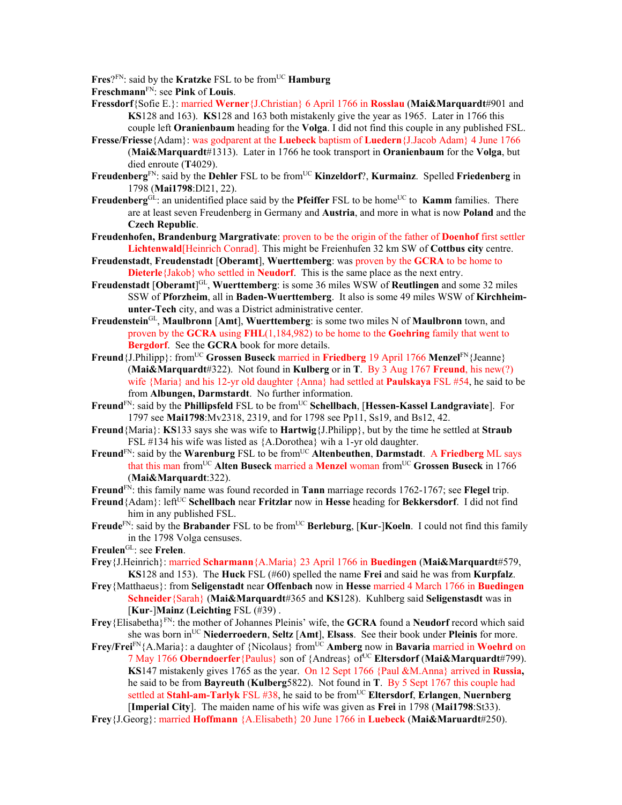Fres?<sup>FN</sup>: said by the **Kratzke** FSL to be from<sup>UC</sup> **Hamburg** 

**Freschmann**FN: see **Pink** of **Louis**.

- **Fressdorf**{Sofie E.}: married **Werner**{J.Christian} 6 April 1766 in **Rosslau** (**Mai&Marquardt**#901 and **KS**128 and 163). **KS**128 and 163 both mistakenly give the year as 1965. Later in 1766 this couple left **Oranienbaum** heading for the **Volga**. I did not find this couple in any published FSL.
- **Fresse/Friesse**{Adam}: was godparent at the **Luebeck** baptism of **Luedern**{J.Jacob Adam} 4 June 1766 (**Mai&Marquardt**#1313). Later in 1766 he took transport in **Oranienbaum** for the **Volga**, but died enroute (**T**4029).
- Freudenberg<sup>FN</sup>: said by the Dehler FSL to be from<sup>UC</sup> Kinzeldorf?, Kurmainz. Spelled Friedenberg in 1798 (**Mai1798**:Dl21, 22).
- **Freudenberg**<sup>GL</sup>: an unidentified place said by the **Pfeiffer** FSL to be home<sup>UC</sup> to **Kamm** families. There are at least seven Freudenberg in Germany and **Austria**, and more in what is now **Poland** and the **Czech Republic**.
- **Freudenhofen, Brandenburg Margrativate**: proven to be the origin of the father of **Doenhof** first settler **Lichtenwald**[Heinrich Conrad]. This might be Freienhufen 32 km SW of **Cottbus city** centre.
- **Freudenstadt**, **Freudenstadt** [**Oberamt**], **Wuerttemberg**: was proven by the **GCRA** to be home to **Dieterle**{Jakob} who settled in **Neudorf**. This is the same place as the next entry.
- **Freudenstadt** [**Oberamt**] GL, **Wuerttemberg**: is some 36 miles WSW of **Reutlingen** and some 32 miles SSW of **Pforzheim**, all in **Baden-Wuerttemberg**. It also is some 49 miles WSW of **Kirchheimunter-Tech** city, and was a District administrative center.
- **Freudenstein**GL, **Maulbronn** [**Amt**], **Wuerttemberg**: is some two miles N of **Maulbronn** town, and proven by the **GCRA** using **FHL**(1,184,982) to be home to the **Goehring** family that went to **Bergdorf**. See the **GCRA** book for more details.
- **Freund**{J.Philipp}: from<sup>UC</sup> Grossen Buseck married in Friedberg 19 April 1766 Menzel<sup>FN</sup>{Jeanne} (**Mai&Marquardt**#322). Not found in **Kulberg** or in **T**. By 3 Aug 1767 **Freund**, his new(?) wife {Maria} and his 12-yr old daughter {Anna} had settled at **Paulskaya** FSL #54, he said to be from **Albungen, Darmstardt**.No further information.
- **Freund**<sup>FN</sup>: said by the **Phillipsfeld** FSL to be from<sup>UC</sup> Schellbach, [Hessen-Kassel Landgraviate]. For 1797 see **Mai1798**:Mv2318, 2319, and for 1798 see Pp11, Ss19, and Bs12, 42.
- **Freund**{Maria}: **KS**133 says she was wife to **Hartwig**{J.Philipp}, but by the time he settled at **Straub**  FSL #134 his wife was listed as {A.Dorothea} wih a 1-yr old daughter.
- Freund<sup>FN</sup>: said by the Warenburg FSL to be from<sup>UC</sup> Altenbeuthen, Darmstadt. A Friedberg ML says that this man fromUC **Alten Buseck** married a **Menzel** woman fromUC **Grossen Buseck** in 1766 (**Mai&Marquardt**:322).
- **Freund**FN: this family name was found recorded in **Tann** marriage records 1762-1767; see **Flegel** trip.
- **Freund**{Adam}: left<sup>UC</sup> **Schellbach** near **Fritzlar** now in **Hesse** heading for **Bekkersdorf**. I did not find him in any published FSL.
- **Freude**<sup>FN</sup>: said by the **Brabander** FSL to be from<sup>UC</sup> **Berleburg**, [**Kur-**]**Koeln**. I could not find this family in the 1798 Volga censuses.
- **Freulen**GL: see **Frelen**.
- **Frey**{J.Heinrich}: married **Scharmann**{A.Maria} 23 April 1766 in **Buedingen** (**Mai&Marquardt**#579, **KS**128 and 153). The **Huck** FSL (#60) spelled the name **Frei** and said he was from **Kurpfalz**.
- **Frey**{Matthaeus}: from **Seligenstadt** near **Offenbach** now in **Hesse** married 4 March 1766 in **Buedingen Schneider**{Sarah} (**Mai&Marquardt**#365 and **KS**128). Kuhlberg said **Seligenstasdt** was in [**Kur**-]**Mainz** (**Leichting** FSL (#39) .
- **Frey**{Elisabetha}FN: the mother of Johannes Pleinis' wife, the **GCRA** found a **Neudorf** record which said she was born inUC **Niederroedern**, **Seltz** [**Amt**], **Elsass**. See their book under **Pleinis** for more.
- **Frey/Frei**<sup>FN</sup>{A.Maria}: a daughter of {Nicolaus} from<sup>UC</sup> **Amberg** now in **Bavaria** married in **Woehrd** on 7 May 1766 **Oberndoerfer**{Paulus} son of {Andreas} ofUC **Eltersdorf** (**Mai&Marquardt**#799). **KS**147 mistakenly gives 1765 as the year. On 12 Sept 1766 {Paul &M.Anna} arrived in **Russia,**  he said to be from **Bayreuth** (**Kulberg**5822). Not found in **T**.By 5 Sept 1767 this couple had settled at **Stahl-am-Tarlyk** FSL #38, he said to be fromUC **Eltersdorf**, **Erlangen**, **Nuernberg**  [**Imperial City**]. The maiden name of his wife was given as **Frei** in 1798 (**Mai1798**:St33).
- **Frey**{J.Georg}: married **Hoffmann** {A.Elisabeth} 20 June 1766 in **Luebeck** (**Mai&Maruardt**#250).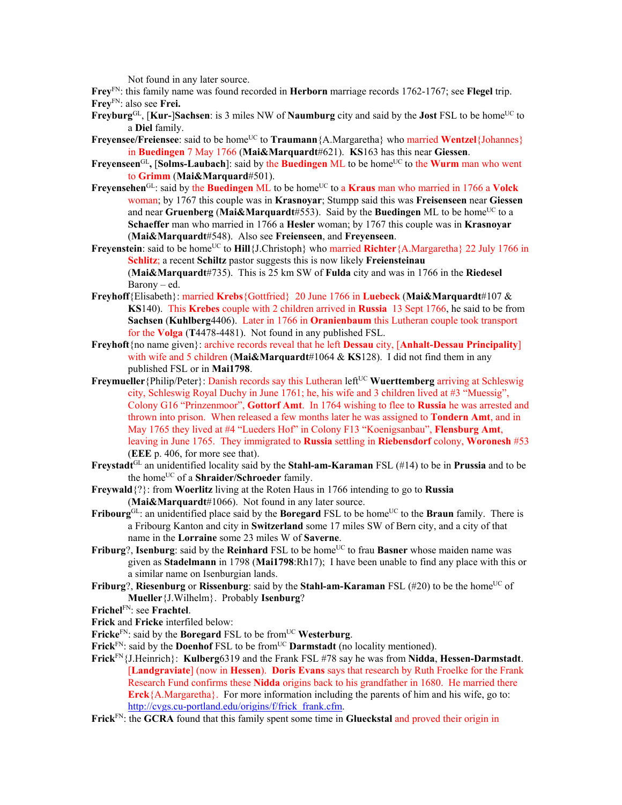Not found in any later source.

**Frey**FN: this family name was found recorded in **Herborn** marriage records 1762-1767; see **Flegel** trip. **Frey**FN: also see **Frei.** 

- **Freyburg**<sup>GL</sup>, [**Kur-**]**Sachsen**: is 3 miles NW of **Naumburg** city and said by the **Jost** FSL to be home<sup>UC</sup> to a **Diel** family.
- **Freyensee/Freiensee**: said to be home<sup>UC</sup> to **Traumann**{A.Margaretha} who married **Wentzel**{Johannes} in **Buedingen** 7 May 1766 (**Mai&Marquardt**#621). **KS**163 has this near **Giessen**.
- **Freyenseen**<sup>GL</sup>, **[Solms-Laubach**]: said by the **Buedingen** ML to be home<sup>UC</sup> to the **Wurm** man who went to **Grimm** (**Mai&Marquard**#501).
- Frevensehen<sup>GL</sup>: said by the **Buedingen** ML to be home<sup>UC</sup> to a **Kraus** man who married in 1766 a **Volck** woman; by 1767 this couple was in **Krasnoyar**; Stumpp said this was **Freisenseen** near **Giessen** and near **Gruenberg** (Mai&Marquardt#553). Said by the **Buedingen** ML to be home<sup>UC</sup> to a **Schaeffer** man who married in 1766 a **Hesler** woman; by 1767 this couple was in **Krasnoyar**  (**Mai&Marquardt**#548). Also see **Freienseen**, and **Freyenseen**.
- **Freyenstein**: said to be home<sup>UC</sup> to **Hill**{J.Christoph} who married **Richter**{A.Margaretha} 22 July 1766 in **Schlitz**; a recent **Schiltz** pastor suggests this is now likely **Freiensteinau**  (**Mai&Marquardt**#735). This is 25 km SW of **Fulda** city and was in 1766 in the **Riedesel** Barony – ed.
- **Freyhoff**{Elisabeth}: married **Krebs**{Gottfried} 20 June 1766 in **Luebeck** (**Mai&Marquardt**#107 & **KS**140). This **Krebes** couple with 2 children arrived in **Russia** 13 Sept 1766, he said to be from **Sachsen** (**Kuhlberg**4406). Later in 1766 in **Oranienbaum** this Lutheran couple took transport for the **Volga** (**T**4478-4481). Not found in any published FSL.
- **Freyhoft**{no name given}: archive records reveal that he left **Dessau** city, [**Anhalt-Dessau Principality**] with wife and 5 children (**Mai&Marquardt**#1064 & **KS**128). I did not find them in any published FSL or in **Mai1798**.
- **Freymueller** {Philip/Peter}: Danish records say this Lutheran left<sup>UC</sup> Wuerttemberg arriving at Schleswig city, Schleswig Royal Duchy in June 1761; he, his wife and 3 children lived at #3 "Muessig", Colony G16 "Prinzenmoor", **Gottorf Amt**. In 1764 wishing to flee to **Russia** he was arrested and thrown into prison. When released a few months later he was assigned to **Tondern Amt**, and in May 1765 they lived at #4 "Lueders Hof" in Colony F13 "Koenigsanbau", **Flensburg Amt**, leaving in June 1765. They immigrated to **Russia** settling in **Riebensdorf** colony, **Woronesh** #53 (**EEE** p. 406, for more see that).
- **Freystadt**GL an unidentified locality said by the **Stahl-am-Karaman** FSL (#14) to be in **Prussia** and to be the homeUC of a **Shraider/Schroeder** family.
- **Freywald**{?}: from **Woerlitz** living at the Roten Haus in 1766 intending to go to **Russia** (**Mai&Marquardt**#1066). Not found in any later source.
- **Fribourg**<sup>GL</sup>: an unidentified place said by the **Boregard** FSL to be home<sup>UC</sup> to the **Braun** family. There is a Fribourg Kanton and city in **Switzerland** some 17 miles SW of Bern city, and a city of that name in the **Lorraine** some 23 miles W of **Saverne**.
- **Friburg**?, **Isenburg**: said by the **Reinhard** FSL to be home<sup>UC</sup> to frau **Basner** whose maiden name was given as **Stadelmann** in 1798 (**Mai1798**:Rh17); I have been unable to find any place with this or a similar name on Isenburgian lands.
- **Friburg**?, **Riesenburg** or **Rissenburg**: said by the **Stahl-am-Karaman** FSL (#20) to be the home<sup>UC</sup> of **Mueller**{J.Wilhelm}. Probably **Isenburg**?
- **Frichel**FN: see **Frachtel**.
- **Frick** and **Fricke** interfiled below:
- Fricke<sup>FN</sup>: said by the **Boregard** FSL to be from<sup>UC</sup> Westerburg.
- **Frick**<sup>FN</sup>: said by the **Doenhof** FSL to be from<sup>UC</sup> **Darmstadt** (no locality mentioned).
- **Frick**FN{J.Heinrich}: **Kulberg**6319 and the Frank FSL #78 say he was from **Nidda**, **Hessen-Darmstadt**. [**Landgraviate**] (now in **Hessen**). **Doris Evans** says that research by Ruth Froelke for the Frank Research Fund confirms these **Nidda** origins back to his grandfather in 1680. He married there **Erck**{A.Margaretha}. For more information including the parents of him and his wife, go to: http://cvgs.cu-portland.edu/origins/f/frick\_frank.cfm.
- **Frick**FN: the **GCRA** found that this family spent some time in **Glueckstal** and proved their origin in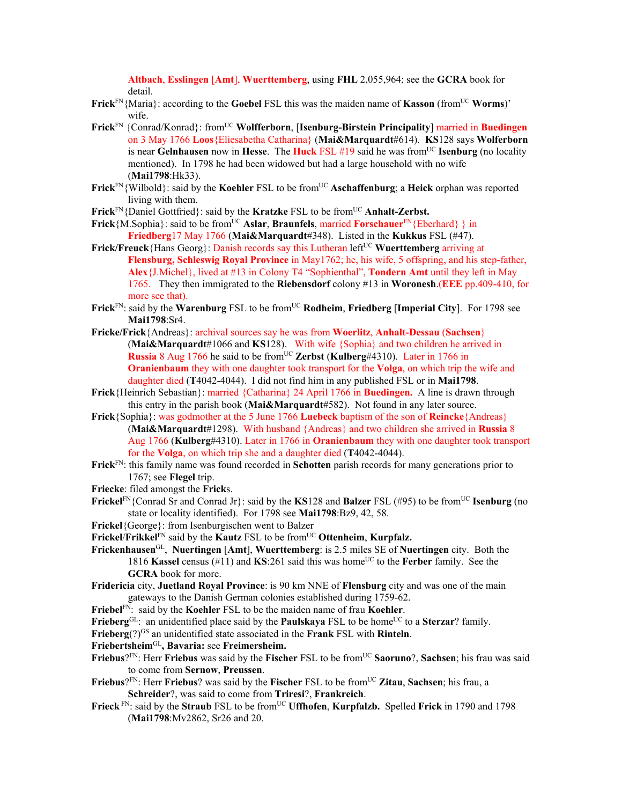**Altbach**, **Esslingen** [**Amt**], **Wuerttemberg**, using **FHL** 2,055,964; see the **GCRA** book for detail.

- **Frick**FN{Maria}: according to the **Goebel** FSL this was the maiden name of **Kasson** (fromUC **Worms**)' wife.
- **Frick**FN {Conrad/Konrad}: fromUC **Wolfferborn**, [**Isenburg-Birstein Principality**] married in **Buedingen** on 3 May 1766 **Loos**{Eliesabetha Catharina} (**Mai&Marquardt**#614). **KS**128 says **Wolferborn** is near **Gelnhausen** now in **Hesse**. The **Huck** FSL  $#19$  said he was from<sup>UC</sup> **Isenburg** (no locality mentioned). In 1798 he had been widowed but had a large household with no wife (**Mai1798**:Hk33).
- Frick<sup>FN</sup>{Wilbold}: said by the **Koehler** FSL to be from<sup>UC</sup> Aschaffenburg; a Heick orphan was reported living with them.
- **Frick**<sup>FN</sup>{Daniel Gottfried}: said by the **Kratzke** FSL to be from<sup>UC</sup> **Anhalt-Zerbst.**
- **Frick**{M.Sophia}: said to be from<sup>UC</sup> Aslar, Braunfels, married **Forschauer**<sup>FN</sup>{Eberhard} } in **Friedberg**17 May 1766 (**Mai&Marquardt**#348). Listed in the **Kukkus** FSL (#47).
- **Frick/Freuck** {Hans Georg}: Danish records say this Lutheran left<sup>UC</sup> Wuerttemberg arriving at **Flensburg, Schleswig Royal Province** in May1762; he, his wife, 5 offspring, and his step-father, **Alex**{J.Michel}, lived at #13 in Colony T4 "Sophienthal", **Tondern Amt** until they left in May 1765. They then immigrated to the **Riebensdorf** colony #13 in **Woronesh**.(**EEE** pp.409-410, for more see that).
- Frick<sup>FN</sup>: said by the **Warenburg** FSL to be from<sup>UC</sup> Rodheim, Friedberg [Imperial City]. For 1798 see **Mai1798**:Sr4.
- **Fricke/Frick**{Andreas}: archival sources say he was from **Woerlitz**, **Anhalt-Dessau** (**Sachsen**} (**Mai&Marquardt**#1066 and **KS**128). With wife {Sophia} and two children he arrived in **Russia** 8 Aug 1766 he said to be fromUC **Zerbst** (**Kulberg**#4310). Later in 1766 in **Oranienbaum** they with one daughter took transport for the **Volga**, on which trip the wife and daughter died (**T**4042-4044). I did not find him in any published FSL or in **Mai1798**.
- **Frick**{Heinrich Sebastian}: married {Catharina} 24 April 1766 in **Buedingen.** A line is drawn through this entry in the parish book (**Mai&Marquardt**#582). Not found in any later source.
- **Frick**{Sophia}: was godmother at the 5 June 1766 **Luebeck** baptism of the son of **Reincke**{Andreas} (**Mai&Marquardt**#1298). With husband {Andreas} and two children she arrived in **Russia** 8 Aug 1766 (**Kulberg**#4310). Later in 1766 in **Oranienbaum** they with one daughter took transport for the **Volga**, on which trip she and a daughter died (**T**4042-4044).
- **Frick**FN: this family name was found recorded in **Schotten** parish records for many generations prior to 1767; see **Flegel** trip.
- **Friecke**: filed amongst the **Frick**s.
- **Frickel<sup>FN</sup>{Conrad Sr and Conrad Jr}: said by the <b>KS**128 and **Balzer** FSL (#95) to be from<sup>UC</sup> **Isenburg** (no state or locality identified). For 1798 see **Mai1798**:Bz9, 42, 58.
- **Frickel**{George}: from Isenburgischen went to Balzer
- **Frickel**/**Frikkel**FN said by the **Kautz** FSL to be fromUC **Ottenheim**, **Kurpfalz.**
- **Frickenhausen**GL, **Nuertingen** [**Amt**], **Wuerttemberg**: is 2.5 miles SE of **Nuertingen** city. Both the 1816 **Kassel** census (#11) and **KS**:261 said this was home<sup>UC</sup> to the **Ferber** family. See the **GCRA** book for more.
- **Fridericia** city, **Juetland Royal Province**: is 90 km NNE of **Flensburg** city and was one of the main gateways to the Danish German colonies established during 1759-62.
- Friebel<sup>FN</sup>: said by the **Koehler** FSL to be the maiden name of frau **Koehler**.
- **Frieberg**<sup>GL</sup>: an unidentified place said by the **Paulskaya** FSL to be home<sup>UC</sup> to a **Sterzar**? family.
- **Frieberg**(?)GS an unidentified state associated in the **Frank** FSL with **Rinteln**.
- **Friebertsheim**GL**, Bavaria:** see **Freimersheim.**
- **Friebus**?FN: Herr **Friebus** was said by the **Fischer** FSL to be fromUC **Saoruno**?, **Sachsen**; his frau was said to come from **Sernow**, **Preussen**.
- **Friebus**?<sup>FN</sup>: Herr **Friebus**? was said by the **Fischer** FSL to be from<sup>UC</sup> Zitau, Sachsen; his frau, a **Schreider**?, was said to come from **Triresi**?, **Frankreich**.
- Frieck<sup>FN</sup>: said by the Straub<sub>FSL</sub> to be from<sup>UC</sup> Uffhofen, Kurpfalzb. Spelled Frick in 1790 and 1798 (**Mai1798**:Mv2862, Sr26 and 20.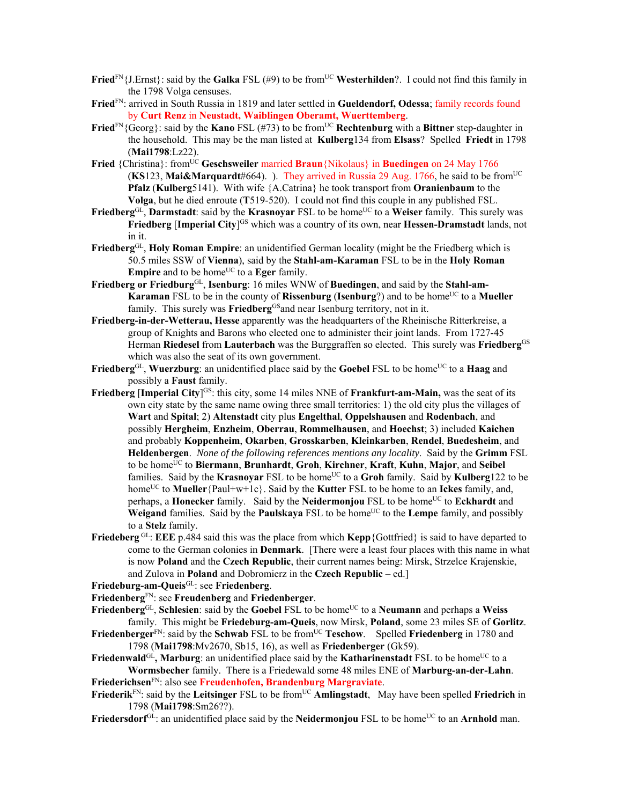- **Fried**<sup>FN</sup>{J.Ernst}: said by the **Galka** FSL (#9) to be from<sup>UC</sup> **Westerhilden**?. I could not find this family in the 1798 Volga censuses.
- **Fried**FN: arrived in South Russia in 1819 and later settled in **Gueldendorf, Odessa**; family records found by **Curt Renz** in **Neustadt, Waiblingen Oberamt, Wuerttemberg**.
- **Fried**<sup>FN</sup>{Georg}: said by the **Kano** FSL (#73) to be from<sup>UC</sup> **Rechtenburg** with a **Bittner** step-daughter in the household. This may be the man listed at **Kulberg**134 from **Elsass**? Spelled **Friedt** in 1798 (**Mai1798**:Lz22).
- **Fried** {Christina}: fromUC **Geschsweiler** married **Braun**{Nikolaus} in **Buedingen** on 24 May 1766 (**KS**123, **Mai&Marquardt**#664). ). They arrived in Russia 29 Aug. 1766, he said to be fromUC **Pfalz** (**Kulberg**5141). With wife {A.Catrina} he took transport from **Oranienbaum** to the **Volga**, but he died enroute (**T**519-520). I could not find this couple in any published FSL.
- **Friedberg**GL, **Darmstadt**: said by the **Krasnoyar** FSL to be home<sup>UC</sup> to a Weiser family. This surely was **Friedberg [Imperial City**]<sup>GS</sup> which was a country of its own, near **Hessen-Dramstadt** lands, not in it.
- **Friedberg**GL, **Holy Roman Empire**: an unidentified German locality (might be the Friedberg which is 50.5 miles SSW of **Vienna**), said by the **Stahl-am-Karaman** FSL to be in the **Holy Roman Empire** and to be home<sup>UC</sup> to a **Eger** family.
- Friedberg or Friedburg<sup>GL</sup>, Isenburg: 16 miles WNW of Buedingen, and said by the Stahl-am-**Karaman** FSL to be in the county of **Rissenburg** (**Isenburg**?) and to be home<sup>UC</sup> to a **Mueller** family. This surely was **Friedberg**<sup>GS</sup> and near Isenburg territory, not in it.
- **Friedberg-in-der-Wetterau, Hesse** apparently was the headquarters of the Rheinische Ritterkreise, a group of Knights and Barons who elected one to administer their joint lands. From 1727-45 Herman **Riedesel** from **Lauterbach** was the Burggraffen so elected. This surely was **Friedberg**GS which was also the seat of its own government.
- Friedberg<sup>GL</sup>, Wuerzburg: an unidentified place said by the Goebel FSL to be home<sup>UC</sup> to a **Haag** and possibly a **Faust** family.
- **Friedberg [Imperial City**]<sup>GS</sup>: this city, some 14 miles NNE of **Frankfurt-am-Main**, was the seat of its own city state by the same name owing three small territories: 1) the old city plus the villages of **Wart** and **Spital**; 2) **Altenstadt** city plus **Engelthal**, **Oppelshausen** and **Rodenbach**, and possibly **Hergheim**, **Enzheim**, **Oberrau**, **Rommelhausen**, and **Hoechst**; 3) included **Kaichen** and probably **Koppenheim**, **Okarben**, **Grosskarben**, **Kleinkarben**, **Rendel**, **Buedesheim**, and **Heldenbergen**. *None of the following references mentions any locality*. Said by the **Grimm** FSL to be homeUC to **Biermann**, **Brunhardt**, **Groh**, **Kirchner**, **Kraft**, **Kuhn**, **Major**, and **Seibel**  families. Said by the **Krasnovar** FSL to be home<sup>UC</sup> to a **Groh** family. Said by **Kulberg**122 to be homeUC to **Mueller**{Paul+w+1c}. Said by the **Kutter** FSL to be home to an **Ickes** family, and, perhaps, a **Honecker** family. Said by the **Neidermonjou** FSL to be home<sup>UC</sup> to **Eckhardt** and **Weigand** families. Said by the **Paulskaya** FSL to be home<sup>UC</sup> to the **Lempe** family, and possibly to a **Stelz** family.
- **Friedeberg** GL: **EEE** p.484 said this was the place from which **Kepp**{Gottfried} is said to have departed to come to the German colonies in **Denmark**. [There were a least four places with this name in what is now **Poland** and the **Czech Republic**, their current names being: Mirsk, Strzelce Krajenskie, and Zulova in **Poland** and Dobromierz in the **Czech Republic** – ed.]

**Friedeburg-am-Queis**GL: see **Friedenberg**.

**Friedenberg**FN: see **Freudenberg** and **Friedenberger**.

- Friedenberg<sup>GL</sup>, Schlesien: said by the Goebel FSL to be home<sup>UC</sup> to a Neumann and perhaps a Weiss family. This might be **Friedeburg-am-Queis**, now Mirsk, **Poland**, some 23 miles SE of **Gorlitz**.
- **Friedenberger**FN: said by the **Schwab** FSL to be fromUC **Teschow**. Spelled **Friedenberg** in 1780 and 1798 (**Mai1798**:Mv2670, Sb15, 16), as well as **Friedenberger** (Gk59).
- **Friedenwald**<sup>GL</sup>, Marburg: an unidentified place said by the **Katharinenstadt** FSL to be home<sup>UC</sup> to a **Wormsbecher** family. There is a Friedewald some 48 miles ENE of **Marburg-an-der-Lahn**. **Friederichsen**FN: also see **Freudenhofen, Brandenburg Margraviate**.
- **Friederik**<sup>FN</sup>: said by the **Leitsinger** FSL to be from<sup>UC</sup> **Amlingstadt**, May have been spelled **Friedrich** in 1798 (**Mai1798**:Sm26??).
- **Friedersdorf**GL: an unidentified place said by the **Neidermonjou** FSL to be home<sup>UC</sup> to an **Arnhold** man.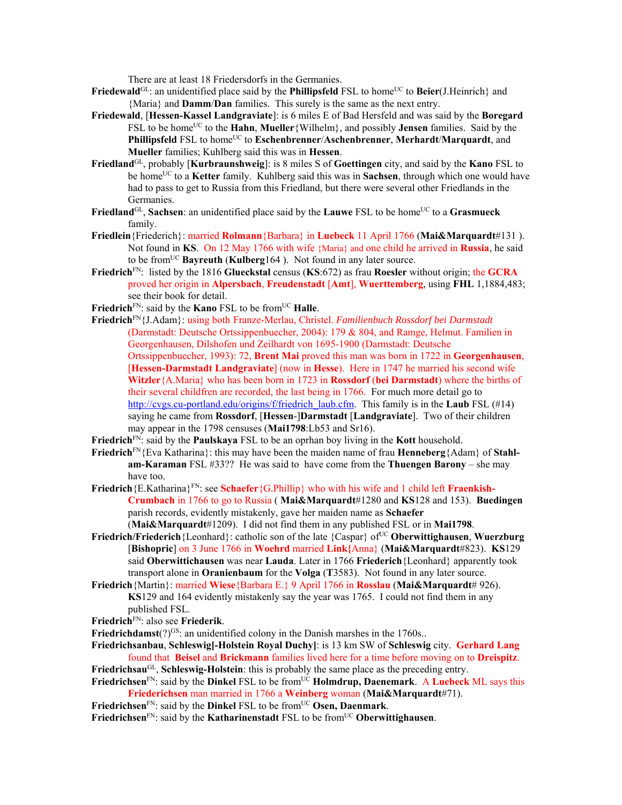There are at least 18 Friedersdorfs in the Germanies.

- **Friedewald**<sup>GL</sup>: an unidentified place said by the **Phillipsfeld** FSL to home<sup>UC</sup> to **Beier**(J.Heinrich) and {Maria} and **Damm**/**Dan** families. This surely is the same as the next entry.
- **Friedewald**, [**Hessen-Kassel Landgraviate**]: is 6 miles E of Bad Hersfeld and was said by the **Boregard** FSL to be home<sup>UC</sup> to the **Hahn**, **Mueller** {Wilhelm}, and possibly **Jensen** families. Said by the **Phillipsfeld** FSL to home<sup>UC</sup> to **Eschenbrenner/Aschenbrenner**, **Merhardt/Marquardt**, and **Mueller** families; Kuhlberg said this was in **Hessen**.
- **Friedland**GL, probably [**Kurbraunshweig**]: is 8 miles S of **Goettingen** city, and said by the **Kano** FSL to be home<sup>UC</sup> to a **Ketter** family. Kuhlberg said this was in **Sachsen**, through which one would have had to pass to get to Russia from this Friedland, but there were several other Friedlands in the Germanies.
- **Friedland**<sup>GL</sup>, **Sachsen**: an unidentified place said by the **Lauwe** FSL to be home<sup>UC</sup> to a **Grasmueck** family.
- **Friedlein**{Friederich}: married **Rolmann**{Barbara} in **Luebeck** 11 April 1766 (**Mai&Marquardt**#131 ). Not found in **KS**. On 12 May 1766 with wife {Maria} and one child he arrived in **Russia**, he said to be fromUC **Bayreuth** (**Kulberg**164 ). Not found in any later source.
- **Friedrich**FN: listed by the 1816 **Glueckstal** census (**KS**:672) as frau **Roesler** without origin; the **GCRA** proved her origin in **Alpersbach**, **Freudenstadt** [**Amt**], **Wuerttemberg**, using **FHL** 1,1884,483; see their book for detail.
- Friedrich<sup>FN</sup>: said by the **Kano** FSL to be from<sup>UC</sup> **Halle**.
- **Friedrich**FN{J.Adam}: using both Franze-Merlau, Christel. *Familienbuch Rossdorf bei Darmstadt* (Darmstadt: Deutsche Ortssippenbuecher, 2004): 179 & 804, and Ramge, Helmut. Familien in Georgenhausen, Dilshofen und Zeilhardt von 1695-1900 (Darmstadt: Deutsche Ortssippenbuecher, 1993): 72, **Brent Mai** proved this man was born in 1722 in **Georgenhausen**, [**Hessen-Darmstadt Landgraviate**] (now in **Hesse**). Here in 1747 he married his second wife **Witzler**{A.Maria} who has been born in 1723 in **Rossdorf** (**bei Darmstadt**) where the births of their several childfren are recorded, the last being in 1766. For much more detail go to http://cvgs.cu-portland.edu/origins/f/friedrich\_laub.cfm. This family is in the **Laub** FSL (#14) saying he came from **Rossdorf**, [**Hessen**-]**Darmstadt** [**Landgraviate**]. Two of their children may appear in the 1798 censuses (**Mai1798**:Lb53 and Sr16).
- **Friedrich**FN: said by the **Paulskaya** FSL to be an oprhan boy living in the **Kott** household.
- **Friedrich**FN{Eva Katharina}: this may have been the maiden name of frau **Henneberg**{Adam} of **Stahlam-Karaman** FSL #33?? He was said to have come from the **Thuengen Barony** – she may have too.
- **Friedrich** {E.Katharina}<sup>FN</sup>: see **Schaefer** {G.Phillip} who with his wife and 1 child left **Fraenkish-Crumbach** in 1766 to go to Russia ( **Mai&Marquardt**#1280 and **KS**128 and 153). **Buedingen** parish records, evidently mistakenly, gave her maiden name as **Schaefer** (**Mai&Marquardt**#1209). I did not find them in any published FSL or in **Mai1798**.
- Friedrich/Friederich {Leonhard}: catholic son of the late {Caspar} of<sup>UC</sup> Oberwittighausen, Wuerzburg [**Bishopric**] on 3 June 1766 in **Woehrd** married **Link{**Anna} (**Mai&Marquardt**#823). **KS**129 said **Oberwittichausen** was near **Lauda**. Later in 1766 **Friederich**{Leonhard} apparently took transport alone in **Oranienbaum** for the **Volga** (**T**3583). Not found in any later source.
- **Friedrich**{Martin}: married **Wiese**{Barbara E.} 9 April 1766 in **Rosslau** (**Mai&Marquardt**# 926). **KS**129 and 164 evidently mistakenly say the year was 1765. I could not find them in any published FSL.
- **Friedrich**FN: also see **Friederik**.
- **Friedrichdamst** $(?)^{GS}$ : an unidentified colony in the Danish marshes in the 1760s..
- **Friedrichsanbau**, **Schleswig[-Holstein Royal Duchy]**: is 13 km SW of **Schleswig** city. **Gerhard Lang** found that **Beisel** and **Brickmann** families lived here for a time before moving on to **Dreispitz**. **Friedrichsau**GL, **Schleswig-Holstein**: this is probably the same place as the preceding entry.
- Friedrichsen<sup>FN</sup>: said by the Dinkel FSL to be from<sup>UC</sup> **Holmdrup, Daenemark. A Luebeck** ML says this **Friederichsen** man married in 1766 a **Weinberg** woman (**Mai&Marquardt**#71).
- **Friedrichsen**<sup>FN</sup>: said by the **Dinkel** FSL to be from<sup>UC</sup> Osen, Daenmark.
- Friedrichsen<sup>FN</sup>: said by the **Katharinenstadt** FSL to be from<sup>UC</sup> Oberwittighausen.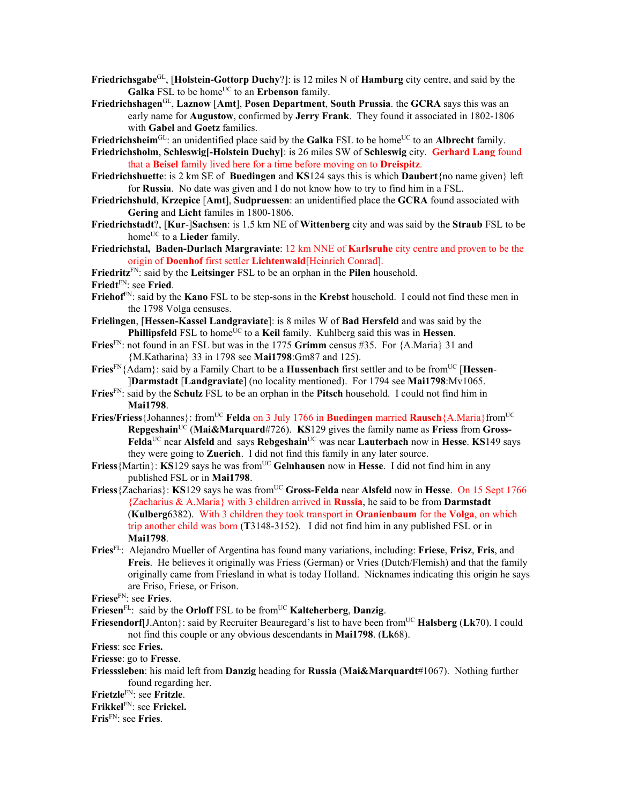- **Friedrichsgabe**GL, [**Holstein-Gottorp Duchy**?]: is 12 miles N of **Hamburg** city centre, and said by the Galka FSL to be home<sup>UC</sup> to an **Erbenson** family.
- **Friedrichshagen**GL, **Laznow** [**Amt**], **Posen Department**, **South Prussia**. the **GCRA** says this was an early name for **Augustow**, confirmed by **Jerry Frank**. They found it associated in 1802-1806 with **Gabel** and **Goetz** families.
- Friedrichsheim<sup>GL</sup>: an unidentified place said by the Galka FSL to be home<sup>UC</sup> to an Albrecht family.
- **Friedrichsholm**, **Schleswig[-Holstein Duchy]**: is 26 miles SW of **Schleswig** city. **Gerhard Lang** found that a **Beisel** family lived here for a time before moving on to **Dreispitz**.
- **Friedrichshuette**: is 2 km SE of **Buedingen** and **KS**124 says this is which **Daubert**{no name given} left for **Russia**. No date was given and I do not know how to try to find him in a FSL.
- **Friedrichshuld**, **Krzepice** [**Amt**], **Sudpruessen**: an unidentified place the **GCRA** found associated with **Gering** and **Licht** familes in 1800-1806.
- **Friedrichstadt**?, [**Kur**-]**Sachsen**: is 1.5 km NE of **Wittenberg** city and was said by the **Straub** FSL to be home<sup>UC</sup> to a **Lieder** family.
- **Friedrichstal, Baden-Durlach Margraviate**: 12 km NNE of **Karlsruhe** city centre and proven to be the origin of **Doenhof** first settler **Lichtenwald**[Heinrich Conrad].

**Friedritz**FN: said by the **Leitsinger** FSL to be an orphan in the **Pilen** household.

- **Friedt**FN: see **Fried**.
- **Friehof**FN: said by the **Kano** FSL to be step-sons in the **Krebst** household. I could not find these men in the 1798 Volga censuses.
- **Frielingen**, [**Hessen-Kassel Landgraviate**]: is 8 miles W of **Bad Hersfeld** and was said by the **Phillipsfeld** FSL to home<sup>UC</sup> to a **Keil** family. Kuhlberg said this was in **Hessen**.
- **Fries**FN: not found in an FSL but was in the 1775 **Grimm** census #35. For {A.Maria} 31 and {M.Katharina} 33 in 1798 see **Mai1798**:Gm87 and 125).
- Fries<sup>FN</sup>{Adam}: said by a Family Chart to be a **Hussenbach** first settler and to be from<sup>UC</sup> [**Hessen**-]**Darmstadt** [**Landgraviate**] (no locality mentioned). For 1794 see **Mai1798**:Mv1065.
- **Fries**FN: said by the **Schulz** FSL to be an orphan in the **Pitsch** household. I could not find him in **Mai1798**.
- **Fries/Friess** {Johannes}: from<sup>UC</sup> **Felda** on 3 July 1766 in **Buedingen** married **Rausch** {A.Maria}from<sup>UC</sup> **Repgeshain**<sup>UC</sup> (Mai&Marquard#726). **KS**129 gives the family name as **Friess** from **Gross-Felda**UC near **Alsfeld** and says **Rebgeshain**UC was near **Lauterbach** now in **Hesse**. **KS**149 says they were going to **Zuerich**. I did not find this family in any later source.
- **Friess** {Martin}: **KS**129 says he was from<sup>UC</sup> **Gelnhausen** now in **Hesse**. I did not find him in any published FSL or in **Mai1798**.
- **Friess** {Zacharias}: **KS**129 says he was from<sup>UC</sup> Gross-Felda near Alsfeld now in Hesse. On 15 Sept 1766 {Zacharius & A.Maria} with 3 children arrived in **Russia**, he said to be from **Darmstadt**  (**Kulberg**6382). With 3 children they took transport in **Oranienbaum** for the **Volga**, on which trip another child was born (**T**3148-3152). I did not find him in any published FSL or in **Mai1798**.
- **Fries**FL: Alejandro Mueller of Argentina has found many variations, including: **Friese**, **Frisz**, **Fris**, and **Freis**. He believes it originally was Friess (German) or Vries (Dutch/Flemish) and that the family originally came from Friesland in what is today Holland. Nicknames indicating this origin he says are Friso, Friese, or Frison.

**Friese**FN: see **Fries**.

Friesen<sup>FL</sup>: said by the **Orloff** FSL to be from<sup>UC</sup> **Kalteherberg**, **Danzig**.

- **Friesendorf**[J.Anton]: said by Recruiter Beauregard's list to have been from<sup>UC</sup> **Halsberg** (Lk70). I could not find this couple or any obvious descendants in **Mai1798**. (**Lk**68).
- **Friess**: see **Fries.**

**Friesse**: go to **Fresse**.

**Friesssleben**: his maid left from **Danzig** heading for **Russia** (**Mai&Marquardt**#1067). Nothing further found regarding her.

**Frietzle**FN: see **Fritzle**.

**Frikkel**FN: see **Frickel.** 

**Fris**FN: see **Fries**.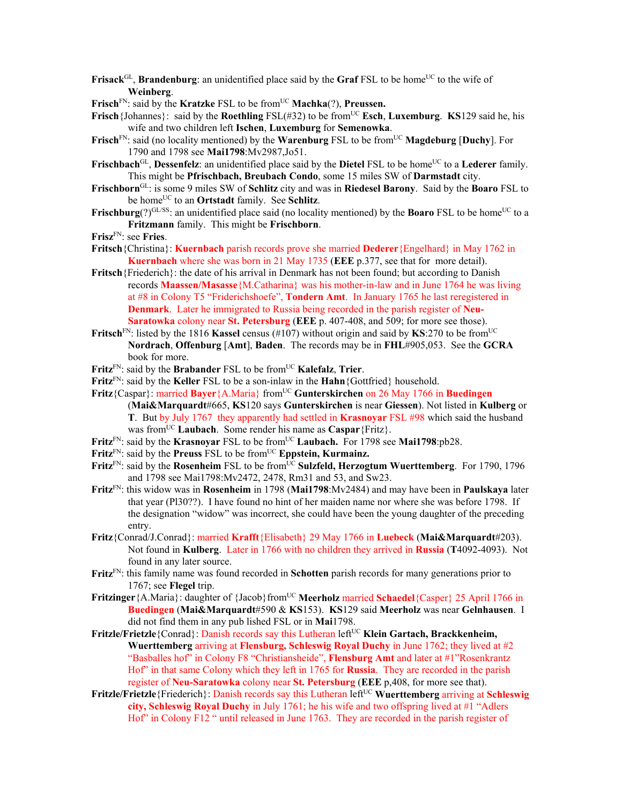- **Frisack**<sup>GL</sup>, **Brandenburg**: an unidentified place said by the **Graf** FSL to be home<sup>UC</sup> to the wife of **Weinberg**.
- **Frisch**<sup>FN</sup>: said by the **Kratzke** FSL to be from<sup>UC</sup> **Machka**(?), **Preussen.**
- **Frisch**{Johannes}: said by the **Roethling** FSL(#32) to be from<sup>UC</sup> **Esch**, **Luxemburg**. **KS**129 said he, his wife and two children left **Ischen**, **Luxemburg** for **Semenowka**.
- **Frisch**<sup>FN</sup>: said (no locality mentioned) by the **Warenburg** FSL to be from<sup>UC</sup> **Magdeburg** [Duchy]. For 1790 and 1798 see **Mai1798**:Mv2987,Jo51.
- Frischbach<sup>GL</sup>, Dessenfelz: an unidentified place said by the Dietel FSL to be home<sup>UC</sup> to a Lederer family. This might be **Pfrischbach, Breubach Condo**, some 15 miles SW of **Darmstadt** city.
- **Frischborn**GL: is some 9 miles SW of **Schlitz** city and was in **Riedesel Barony**. Said by the **Boaro** FSL to be homeUC to an **Ortstadt** family. See **Schlitz**.
- **Frischburg**(?) $GL/SS$ : an unidentified place said (no locality mentioned) by the **Boaro** FSL to be home<sup>UC</sup> to a **Fritzmann** family. This might be **Frischborn**.
- **Frisz**FN: see **Fries**.
- **Fritsch**{Christina}: **Kuernbach** parish records prove she married **Dederer**{Engelhard} in May 1762 in **Kuernbach** where she was born in 21 May 1735 (**EEE** p.377, see that for more detail).
- **Fritsch**{Friederich}: the date of his arrival in Denmark has not been found; but according to Danish records **Maassen/Masasse**{M.Catharina} was his mother-in-law and in June 1764 he was living at #8 in Colony T5 "Friderichshoefe", **Tondern Amt**. In January 1765 he last reregistered in **Denmark**. Later he immigrated to Russia being recorded in the parish register of **Neu-Saratowka** colony near **St. Petersburg** (**EEE** p. 407-408, and 509; for more see those).
- **Fritsch**<sup>FN</sup>: listed by the 1816 **Kassel** census (#107) without origin and said by **KS**:270 to be from<sup>UC</sup> **Nordrach**, **Offenburg** [**Amt**], **Baden**. The records may be in **FHL**#905,053. See the **GCRA** book for more.
- Fritz<sup>FN</sup>: said by the Brabander FSL to be from<sup>UC</sup> Kalefalz, Trier.
- **Fritz**FN: said by the **Keller** FSL to be a son-inlaw in the **Hahn**{Gottfried} household.
- Fritz<sup>{Caspar}: married **Bayer**{A.Maria} from<sup>UC</sup> Gunterskirchen on 26 May 1766 in **Buedingen**</sup> (**Mai&Marquardt**#665, **KS**120 says **Gunterskirchen** is near **Giessen**). Not listed in **Kulberg** or **T**. But by July 1767 they apparently had settled in **Krasnoyar** FSL #98 which said the husband was from<sup>UC</sup> Laubach. Some render his name as Caspar {Fritz}.
- Fritz<sup>FN</sup>: said by the **Krasnoyar** FSL to be from<sup>UC</sup> Laubach. For 1798 see Mai1798:pb28.
- Fritz<sup>FN</sup>: said by the Preuss FSL to be from<sup>UC</sup> Eppstein, Kurmainz.
- **Fritz**<sup>FN</sup>: said by the **Rosenheim** FSL to be from<sup>UC</sup> **Sulzfeld, Herzogtum Wuerttemberg**. For 1790, 1796 and 1798 see Mai1798:Mv2472, 2478, Rm31 and 53, and Sw23.
- **Fritz**FN: this widow was in **Rosenheim** in 1798 (**Mai1798**:Mv2484) and may have been in **Paulskaya** later that year (Pl30??). I have found no hint of her maiden name nor where she was before 1798. If the designation "widow" was incorrect, she could have been the young daughter of the preceding entry.
- **Fritz**{Conrad/J.Conrad}: married **Krafft**{Elisabeth} 29 May 1766 in **Luebeck** (**Mai&Marquardt**#203). Not found in **Kulberg**. Later in 1766 with no children they arrived in **Russia** (**T**4092-4093). Not found in any later source.
- **Fritz**FN: this family name was found recorded in **Schotten** parish records for many generations prior to 1767; see **Flegel** trip.
- **Fritzinger** { A.Maria}: daughter of {Jacob} from<sup>UC</sup> **Meerholz** married **Schaedel**{Casper} 25 April 1766 in **Buedingen** (**Mai&Marquardt**#590 & **KS**153). **KS**129 said **Meerholz** was near **Gelnhausen**. I did not find them in any pub lished FSL or in **Mai**1798.
- **Fritzle/Frietzle** {Conrad}: Danish records say this Lutheran left<sup>UC</sup> **Klein Gartach, Brackkenheim, Wuerttemberg** arriving at **Flensburg, Schleswig Royal Duchy** in June 1762; they lived at #2 "Basballes hof" in Colony F8 "Christiansheide", **Flensburg Amt** and later at #1"Rosenkrantz Hof" in that same Colony which they left in 1765 for **Russia**. They are recorded in the parish register of **Neu-Saratowka** colony near **St. Petersburg** (**EEE** p,408, for more see that).
- **Fritzle/Frietzle**{Friederich}: Danish records say this Lutheran left<sup>UC</sup> Wuerttemberg arriving at Schleswig **city, Schleswig Royal Duchy** in July 1761; he his wife and two offspring lived at #1 "Adlers Hof" in Colony F12 " until released in June 1763. They are recorded in the parish register of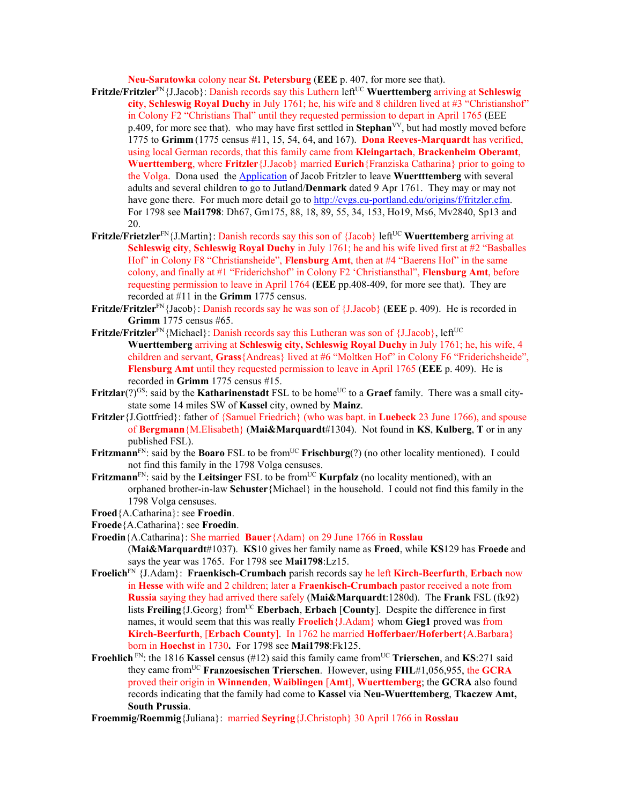**Neu-Saratowka** colony near **St. Petersburg** (**EEE** p. 407, for more see that).

- Fritzle/Fritzler<sup>FN</sup>{J.Jacob}: Danish records say this Luthern left<sup>UC</sup> Wuerttemberg arriving at Schleswig **city**, **Schleswig Royal Duchy** in July 1761; he, his wife and 8 children lived at #3 "Christianshof" in Colony F2 "Christians Thal" until they requested permission to depart in April 1765 (EEE p.409, for more see that). who may have first settled in **Stephan**VV, but had mostly moved before 1775 to **Grimm** (1775 census #11, 15, 54, 64, and 167). **Dona Reeves-Marquardt** has verified, using local German records, that this family came from **Kleingartach**, **Brackenheim Oberamt**, **Wuerttemberg**, where **Fritzler**{J.Jacob} married **Eurich**{Franziska Catharina} prior to going to the Volga. Dona used the Application of Jacob Fritzler to leave **Wuertttemberg** with several adults and several children to go to Jutland/**Denmark** dated 9 Apr 1761. They may or may not have gone there. For much more detail go to http://cvgs.cu-portland.edu/origins/f/fritzler.cfm. For 1798 see **Mai1798**: Dh67, Gm175, 88, 18, 89, 55, 34, 153, Ho19, Ms6, Mv2840, Sp13 and 20.
- **Fritzle/Frietzler**<sup>FN</sup>{J.Martin}: Danish records say this son of {Jacob} left<sup>UC</sup> **Wuerttemberg** arriving at **Schleswig city**, **Schleswig Royal Duchy** in July 1761; he and his wife lived first at #2 "Basballes Hof" in Colony F8 "Christiansheide", **Flensburg Amt**, then at #4 "Baerens Hof" in the same colony, and finally at #1 "Friderichshof" in Colony F2 'Christiansthal", **Flensburg Amt**, before requesting permission to leave in April 1764 (**EEE** pp.408-409, for more see that). They are recorded at #11 in the **Grimm** 1775 census.
- **Fritzle/Fritzler**FN{Jacob}: Danish records say he was son of {J.Jacob} (**EEE** p. 409). He is recorded in **Grimm** 1775 census #65.
- **Fritzle/Fritzler**<sup>FN</sup>{Michael}: Danish records say this Lutheran was son of {J.Jacob}, left<sup>UC</sup> **Wuerttemberg** arriving at **Schleswig city, Schleswig Royal Duchy** in July 1761; he, his wife, 4 children and servant, **Grass**{Andreas} lived at #6 "Moltken Hof" in Colony F6 "Friderichsheide", **Flensburg Amt** until they requested permission to leave in April 1765 (**EEE** p. 409). He is recorded in **Grimm** 1775 census #15.
- **Fritzlar**(?)<sup>GS</sup>: said by the **Katharinenstadt** FSL to be home<sup>UC</sup> to a **Graef** family. There was a small citystate some 14 miles SW of **Kassel** city, owned by **Mainz**.
- **Fritzler**{J.Gottfried}: father of {Samuel Friedrich} (who was bapt. in **Luebeck** 23 June 1766), and spouse of **Bergmann**{M.Elisabeth} (**Mai&Marquardt**#1304). Not found in **KS**, **Kulberg**, **T** or in any published FSL).
- **Fritzmann**<sup>FN</sup>: said by the **Boaro** FSL to be from<sup>UC</sup> **Frischburg**(?) (no other locality mentioned). I could not find this family in the 1798 Volga censuses.
- Fritzmann<sup>FN</sup>: said by the Leitsinger FSL to be from<sup>UC</sup> **Kurpfalz** (no locality mentioned), with an orphaned brother-in-law **Schuster**{Michael} in the household. I could not find this family in the 1798 Volga censuses.
- **Froed**{A.Catharina}: see **Froedin**.
- **Froede**{A.Catharina}: see **Froedin**.
- **Froedin**{A.Catharina}: She married **Bauer**{Adam} on 29 June 1766 in **Rosslau** (**Mai&Marquardt**#1037). **KS**10 gives her family name as **Froed**, while **KS**129 has **Froede** and says the year was 1765. For 1798 see **Mai1798**:Lz15.
- **Froelich**FN {J.Adam}: **Fraenkisch-Crumbach** parish records say he left **Kirch-Beerfurth**, **Erbach** now in **Hesse** with wife and 2 children; later a **Fraenkisch-Crumbach** pastor received a note from **Russia** saying they had arrived there safely (**Mai&Marquardt**:1280d). The **Frank** FSL (fk92) lists **Freiling**{J.Georg} from<sup>UC</sup> **Eberbach**, **Erbach** [County]. Despite the difference in first names, it would seem that this was really **Froelich**{J.Adam} whom **Gieg1** proved was from **Kirch-Beerfurth**, [**Erbach County**]. In 1762 he married **Hofferbaer/Hoferbert**{A.Barbara} born in **Hoechst** in 1730**.** For 1798 see **Mai1798**:Fk125.
- **Froehlich** FN: the 1816 **Kassel** census (#12) said this family came from<sup>UC</sup> Trierschen, and **KS**:271 said they came fromUC **Franzoesischen Trierschen**. However, using **FHL**#1,056,955, the **GCRA** proved their origin in **Winnenden**, **Waiblingen** [**Amt**], **Wuerttemberg**; the **GCRA** also found records indicating that the family had come to **Kassel** via **Neu-Wuerttemberg**, **Tkaczew Amt, South Prussia**.
- **Froemmig/Roemmig**{Juliana}: married **Seyring**{J.Christoph} 30 April 1766 in **Rosslau**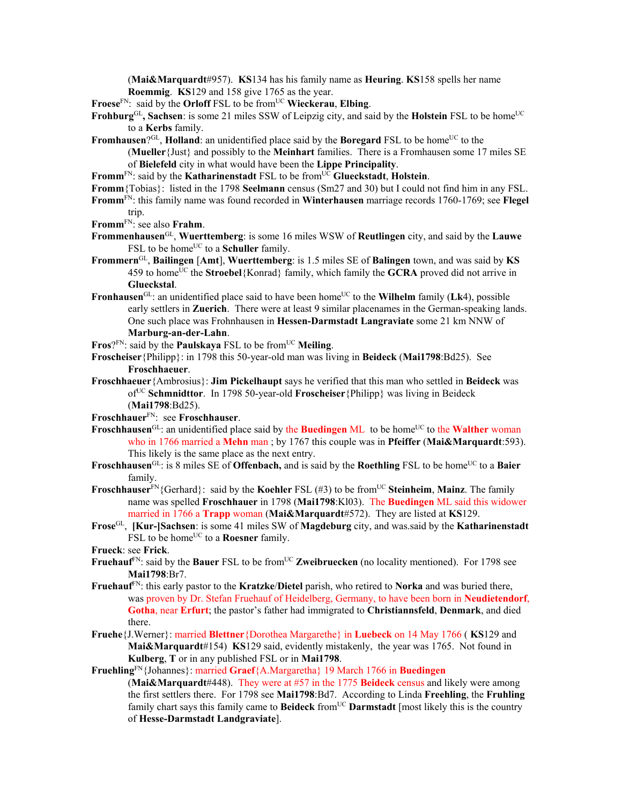(**Mai&Marquardt**#957). **KS**134 has his family name as **Heuring**. **KS**158 spells her name **Roemmig**. **KS**129 and 158 give 1765 as the year.

**Froese**FN: said by the **Orloff** FSL to be fromUC **Wieckerau**, **Elbing**.

- **Frohburg**<sup>GL</sup>, Sachsen: is some 21 miles SSW of Leipzig city, and said by the **Holstein** FSL to be home<sup>UC</sup> to a **Kerbs** family.
- **Fromhausen**?<sup>GL</sup>, **Holland**: an unidentified place said by the **Boregard** FSL to be home<sup>UC</sup> to the (**Mueller**{Just} and possibly to the **Meinhart** families. There is a Fromhausen some 17 miles SE of **Bielefeld** city in what would have been the **Lippe Principality**.
- Fromm<sup>FN</sup>: said by the **Katharinenstadt** FSL to be from<sup>UC</sup> Glueckstadt, Holstein.
- **Fromm**{Tobias}: listed in the 1798 **Seelmann** census (Sm27 and 30) but I could not find him in any FSL.
- **Fromm**FN: this family name was found recorded in **Winterhausen** marriage records 1760-1769; see **Flegel** trip.
- **Fromm**FN: see also **Frahm**.
- **Frommenhausen**GL, **Wuerttemberg**: is some 16 miles WSW of **Reutlingen** city, and said by the **Lauwe** FSL to be home<sup>UC</sup> to a **Schuller** family.
- **Frommern**GL, **Bailingen** [**Amt**], **Wuerttemberg**: is 1.5 miles SE of **Balingen** town, and was said by **KS** 459 to homeUC the **Stroebel**{Konrad} family, which family the **GCRA** proved did not arrive in **Glueckstal**.
- **Fronhausen**<sup>GL</sup>: an unidentified place said to have been home<sup>UC</sup> to the **Wilhelm** family (Lk4), possible early settlers in **Zuerich**. There were at least 9 similar placenames in the German-speaking lands. One such place was Frohnhausen in **Hessen-Darmstadt Langraviate** some 21 km NNW of **Marburg-an-der-Lahn**.
- Fros?<sup>FN</sup>: said by the **Paulskaya** FSL to be from<sup>UC</sup> Meiling.
- **Froscheiser**{Philipp}: in 1798 this 50-year-old man was living in **Beideck** (**Mai1798**:Bd25). See **Froschhaeuer**.
- **Froschhaeuer**{Ambrosius}: **Jim Pickelhaupt** says he verified that this man who settled in **Beideck** was ofUC **Schmnidttor**. In 1798 50-year-old **Froscheiser**{Philipp} was living in Beideck (**Mai1798**:Bd25).
- **Froschhauer**FN: see **Froschhauser**.
- Froschhausen<sup>GL</sup>: an unidentified place said by the Buedingen ML to be home<sup>UC</sup> to the Walther woman who in 1766 married a **Mehn** man ; by 1767 this couple was in **Pfeiffer** (**Mai&Marquardt**:593). This likely is the same place as the next entry.
- **Froschhausen**<sup>GL</sup>: is 8 miles SE of **Offenbach**, and is said by the **Roethling** FSL to be home<sup>UC</sup> to a **Baier** family.
- **Froschhauser**<sup>FN</sup>{Gerhard}: said by the **Koehler** FSL (#3) to be from<sup>UC</sup> Steinheim, Mainz. The family name was spelled **Froschhauer** in 1798 (**Mai1798**:Kl03). The **Buedingen** ML said this widower married in 1766 a **Trapp** woman (**Mai&Marquardt**#572). They are listed at **KS**129.
- **Frose**GL, **[Kur-]Sachsen**: is some 41 miles SW of **Magdeburg** city, and was.said by the **Katharinenstadt** FSL to be home<sup>UC</sup> to a **Roesner** family.

**Frueck**: see **Frick**.

- **Fruehauf**<sup>FN</sup>: said by the **Bauer** FSL to be from<sup>UC</sup> **Zweibruecken** (no locality mentioned). For 1798 see **Mai1798**:Br7.
- **Fruehauf**FN: this early pastor to the **Kratzke**/**Dietel** parish, who retired to **Norka** and was buried there, was proven by Dr. Stefan Fruehauf of Heidelberg, Germany, to have been born in **Neudietendorf**, **Gotha**, near **Erfurt**; the pastor's father had immigrated to **Christiannsfeld**, **Denmark**, and died there.
- **Fruehe**{J.Werner}: married **Blettner**{Dorothea Margarethe} in **Luebeck** on 14 May 1766 ( **KS**129 and **Mai&Marquardt**#154) **KS**129 said, evidently mistakenly, the year was 1765. Not found in **Kulberg**, **T** or in any published FSL or in **Mai1798**.

**Fruehling**FN{Johannes}: married **Graef**{A.Margaretha} 19 March 1766 in **Buedingen**

(**Mai&Marquardt**#448). They were at #57 in the 1775 **Beideck** census and likely were among the first settlers there. For 1798 see **Mai1798**:Bd7. According to Linda **Freehling**, the **Fruhling** family chart says this family came to **Beideck** fromUC **Darmstadt** [most likely this is the country of **Hesse-Darmstadt Landgraviate**].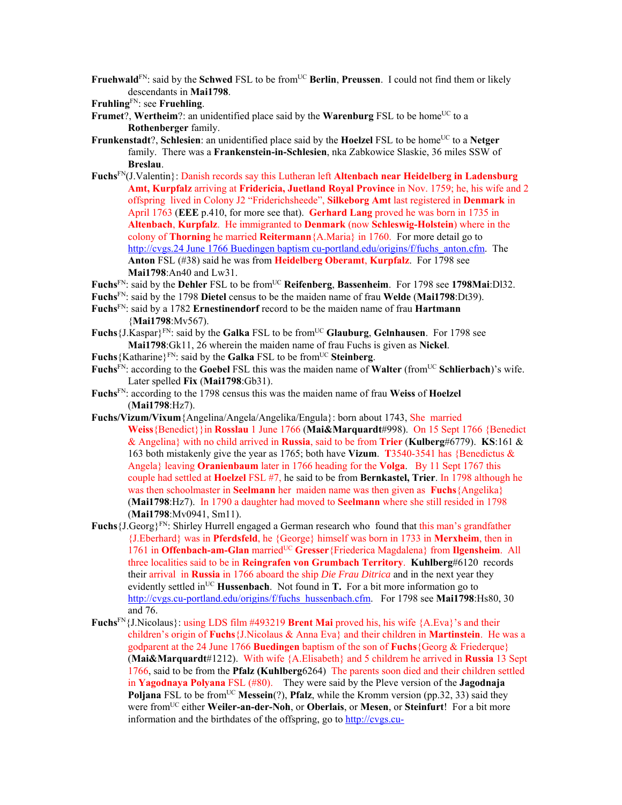**Fruehwald**<sup>FN</sup>: said by the **Schwed** FSL to be from<sup>UC</sup> **Berlin**, **Preussen**. I could not find them or likely descendants in **Mai1798**.

- **Frumet**?, **Wertheim**?: an unidentified place said by the **Warenburg** FSL to be home<sup>UC</sup> to a **Rothenberger** family.
- **Frunkenstadt**?, **Schlesien**: an unidentified place said by the **Hoelzel** FSL to be home<sup>UC</sup> to a Netger family. There was a **Frankenstein-in-Schlesien**, nka Zabkowice Slaskie, 36 miles SSW of **Breslau**.
- **Fuchs**FN(J.Valentin}: Danish records say this Lutheran left **Altenbach near Heidelberg in Ladensburg Amt, Kurpfalz** arriving at **Fridericia, Juetland Royal Province** in Nov. 1759; he, his wife and 2 offspring lived in Colony J2 "Friderichsheede", **Silkeborg Amt** last registered in **Denmark** in April 1763 (**EEE** p.410, for more see that). **Gerhard Lang** proved he was born in 1735 in **Altenbach**, **Kurpfalz**. He immigranted to **Denmark** (now **Schleswig-Holstein**) where in the colony of **Thorning** he married **Reitermann**{A.Maria} in 1760. For more detail go to http://cvgs.24 June 1766 Buedingen baptism cu-portland.edu/origins/f/fuchs\_anton.cfm. The **Anton** FSL (#38) said he was from **Heidelberg Oberamt**, **Kurpfalz**. For 1798 see **Mai1798**:An40 and Lw31.
- Fuchs<sup>FN</sup>: said by the Dehler FSL to be from<sup>UC</sup> Reifenberg, Bassenheim. For 1798 see 1798Mai:Dl32.
- **Fuchs**FN: said by the 1798 **Dietel** census to be the maiden name of frau **Welde** (**Mai1798**:Dt39). **Fuchs**FN: said by a 1782 **Ernestinendorf** record to be the maiden name of frau **Hartmann**
	- {**Mai1798**:Mv567).
- **Fuchs**{J.Kaspar}FN: said by the **Galka** FSL to be fromUC **Glauburg**, **Gelnhausen**. For 1798 see **Mai1798**:Gk11, 26 wherein the maiden name of frau Fuchs is given as **Nickel**.
- Fuchs<sup>{Katharine}FN:</sup> said by the **Galka** FSL to be from<sup>UC</sup> Steinberg.
- Fuchs<sup>FN</sup>: according to the **Goebel** FSL this was the maiden name of **Walter** (from<sup>UC</sup> **Schlierbach**)'s wife. Later spelled **Fix** (**Mai1798**:Gb31).
- **Fuchs**FN: according to the 1798 census this was the maiden name of frau **Weiss** of **Hoelzel** (**Mai1798**:Hz7).
- **Fuchs/Vizum/Vixum**{Angelina/Angela/Angelika/Engula}: born about 1743, She married **Weiss**{Benedict}}in **Rosslau** 1 June 1766 (**Mai&Marquardt**#998). On 15 Sept 1766 {Benedict & Angelina} with no child arrived in **Russia**, said to be from **Trier** (**Kulberg**#6779). **KS**:161 & 163 both mistakenly give the year as 1765; both have **Vizum**. **T**3540-3541 has {Benedictus & Angela} leaving **Oranienbaum** later in 1766 heading for the **Volga**. By 11 Sept 1767 this couple had settled at **Hoelzel** FSL #7, he said to be from **Bernkastel, Trier**. In 1798 although he was then schoolmaster in **Seelmann** her maiden name was then given as **Fuchs**{Angelika} (**Mai1798**:Hz7). In 1790 a daughter had moved to **Seelmann** where she still resided in 1798 (**Mai1798**:Mv0941, Sm11).
- **Fuchs**{J.Georg}FN: Shirley Hurrell engaged a German research who found that this man's grandfather {J.Eberhard} was in **Pferdsfeld**, he {George} himself was born in 1733 in **Merxheim**, then in 1761 in **Offenbach-am-Glan** marriedUC **Gresser**{Friederica Magdalena} from **Ilgensheim**. All three localities said to be in **Reingrafen von Grumbach Territory**. **Kuhlberg**#6120 records their arrival in **Russia** in 1766 aboard the ship *Die Frau Ditrica* and in the next year they evidently settled in<sup>UC</sup> **Hussenbach**. Not found in **T.** For a bit more information go to http://cvgs.cu-portland.edu/origins/f/fuchs\_hussenbach.cfm. For 1798 see **Mai1798**:Hs80, 30 and 76.
- **Fuchs**FN{J.Nicolaus}: using LDS film #493219 **Brent Mai** proved his, his wife {A.Eva}'s and their children's origin of **Fuchs**{J.Nicolaus & Anna Eva} and their children in **Martinstein**. He was a godparent at the 24 June 1766 **Buedingen** baptism of the son of **Fuchs**{Georg & Friederque} (**Mai&Marquardt**#1212). With wife {A.Elisabeth} and 5 childrem he arrived in **Russia** 13 Sept 1766, said to be from the **Pfalz (Kuhlberg**6264) The parents soon died and their children settled in **Yagodnaya Polyana** FSL (#80). They were said by the Pleve version of the **Jagodnaja Poliana** FSL to be from<sup>UC</sup> **Messein**(?), **Pfalz**, while the Kromm version (pp.32, 33) said they were fromUC either **Weiler-an-der-Noh**, or **Oberlais**, or **Mesen**, or **Steinfurt**! For a bit more information and the birthdates of the offspring, go to http://cvgs.cu-

**Fruhling**FN: see **Fruehling**.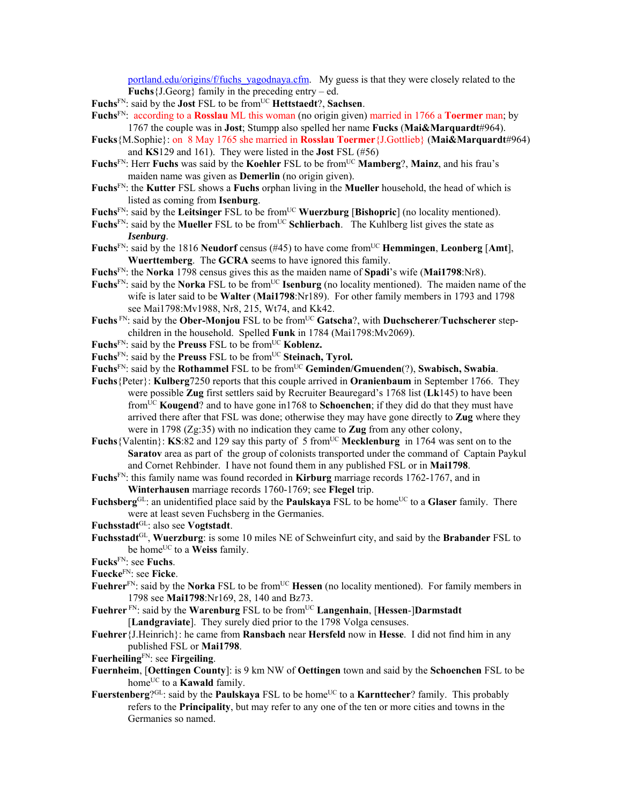portland.edu/origins/f/fuchs\_yagodnaya.cfm. My guess is that they were closely related to the **Fuchs**{J.Georg} family in the preceding entry – ed.

**Fuchs**FN: said by the **Jost** FSL to be fromUC **Hettstaedt**?, **Sachsen**.

- **Fuchs**FN: according to a **Rosslau** ML this woman (no origin given) married in 1766 a **Toermer** man; by 1767 the couple was in **Jost**; Stumpp also spelled her name **Fucks** (**Mai&Marquardt**#964).
- **Fucks**{M.Sophie}: on 8 May 1765 she married in **Rosslau Toermer**{J.Gottlieb} (**Mai&Marquardt**#964) and **KS**129 and 161). They were listed in the **Jost** FSL (#56)
- **Fuchs**FN: Herr **Fuchs** was said by the **Koehler** FSL to be fromUC **Mamberg**?, **Mainz**, and his frau's maiden name was given as **Demerlin** (no origin given).
- **Fuchs**FN: the **Kutter** FSL shows a **Fuchs** orphan living in the **Mueller** household, the head of which is listed as coming from **Isenburg**.
- **Fuchs**<sup>FN</sup>: said by the **Leitsinger** FSL to be from<sup>UC</sup> **Wuerzburg** [Bishopric] (no locality mentioned).
- Fuchs<sup>FN</sup>: said by the Mueller FSL to be from<sup>UC</sup> Schlierbach. The Kuhlberg list gives the state as *Isenburg*.
- **Fuchs**FN: said by the 1816 **Neudorf** census (#45) to have come fromUC **Hemmingen**, **Leonberg** [**Amt**], **Wuerttemberg**. The **GCRA** seems to have ignored this family.
- **Fuchs**FN: the **Norka** 1798 census gives this as the maiden name of **Spadi**'s wife (**Mai1798**:Nr8).
- Fuchs<sup>FN</sup>: said by the **Norka** FSL to be from<sup>UC</sup> **Isenburg** (no locality mentioned). The maiden name of the wife is later said to be **Walter** (**Mai1798**:Nr189). For other family members in 1793 and 1798 see Mai1798:Mv1988, Nr8, 215, Wt74, and Kk42.
- **Fuchs** FN: said by the **Ober-Monjou** FSL to be from<sup>UC</sup> Gatscha?, with **Duchscherer**/**Tuchscherer** stepchildren in the household. Spelled **Funk** in 1784 (Mai1798:Mv2069).
- Fuchs<sup>FN</sup>: said by the **Preuss** FSL to be from<sup>UC</sup> Koblenz.
- Fuchs<sup>FN</sup>: said by the **Preuss** FSL to be from<sup>UC</sup> Steinach, Tyrol.
- Fuchs<sup>FN</sup>: said by the **Rothammel** FSL to be from<sup>UC</sup> Geminden/Gmuenden(?), Swabisch, Swabia.
- **Fuchs**{Peter}: **Kulberg**7250 reports that this couple arrived in **Oranienbaum** in September 1766. They were possible **Zug** first settlers said by Recruiter Beauregard's 1768 list (**Lk**145) to have been fromUC **Kougend**? and to have gone in1768 to **Schoenchen**; if they did do that they must have arrived there after that FSL was done; otherwise they may have gone directly to **Zug** where they were in 1798 (Zg:35) with no indication they came to **Zug** from any other colony,
- **Fuchs** {Valentin}: **KS**:82 and 129 say this party of 5 from<sup>UC</sup> Mecklenburg in 1764 was sent on to the **Saratov** area as part of the group of colonists transported under the command of Captain Paykul and Cornet Rehbinder. I have not found them in any published FSL or in **Mai1798**.
- **Fuchs**FN: this family name was found recorded in **Kirburg** marriage records 1762-1767, and in **Winterhausen** marriage records 1760-1769; see **Flegel** trip.
- Fuchsberg<sup>GL</sup>: an unidentified place said by the **Paulskaya** FSL to be home<sup>UC</sup> to a **Glaser** family. There were at least seven Fuchsberg in the Germanies.
- **Fuchsstadt**GL: also see **Vogtstadt**.
- **Fuchsstadt**GL, **Wuerzburg**: is some 10 miles NE of Schweinfurt city, and said by the **Brabander** FSL to be home<sup>UC</sup> to a **Weiss** family.
- **Fucks**FN: see **Fuchs**.
- **Fuecke**FN: see **Ficke**.
- Fuehrer<sup>FN</sup>: said by the **Norka** FSL to be from<sup>UC</sup> Hessen (no locality mentioned). For family members in 1798 see **Mai1798**:Nr169, 28, 140 and Bz73.
- Fuehrer<sup>FN</sup>: said by the Warenburg FSL to be from<sup>UC</sup> Langenhain, [Hessen-]Darmstadt [**Landgraviate**]. They surely died prior to the 1798 Volga censuses.
- **Fuehrer**{J.Heinrich}: he came from **Ransbach** near **Hersfeld** now in **Hesse**. I did not find him in any published FSL or **Mai1798**.
- **Fuerheiling**FN: see **Firgeiling**.
- **Fuernheim**, [**Oettingen County**]: is 9 km NW of **Oettingen** town and said by the **Schoenchen** FSL to be home<sup>UC</sup> to a **Kawald** family.
- **Fuerstenberg**?<sup>GL</sup>: said by the **Paulskaya** FSL to be home<sup>UC</sup> to a **Karnttecher**? family. This probably refers to the **Principality**, but may refer to any one of the ten or more cities and towns in the Germanies so named.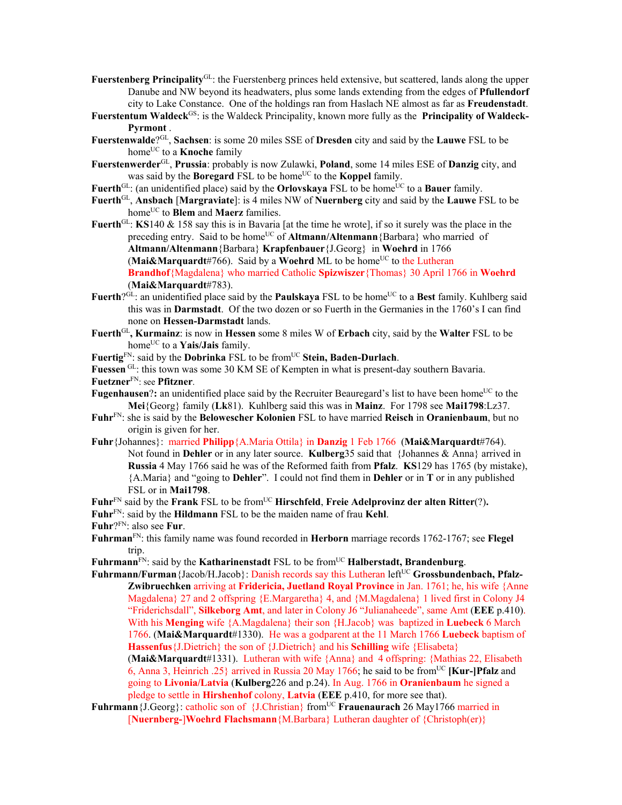- **Fuerstenberg Principality**GL: the Fuerstenberg princes held extensive, but scattered, lands along the upper Danube and NW beyond its headwaters, plus some lands extending from the edges of **Pfullendorf** city to Lake Constance. One of the holdings ran from Haslach NE almost as far as **Freudenstadt**.
- **Fuerstentum Waldeck**<sup>GS</sup>: is the Waldeck Principality, known more fully as the **Principality of Waldeck-Pyrmont** .
- **Fuerstenwalde**?GL, **Sachsen**: is some 20 miles SSE of **Dresden** city and said by the **Lauwe** FSL to be home<sup>UC</sup> to a **Knoche** family
- **Fuerstenwerder**GL, **Prussia**: probably is now Zulawki, **Poland**, some 14 miles ESE of **Danzig** city, and was said by the **Boregard** FSL to be home<sup>UC</sup> to the **Koppel** family.
- Fuerth<sup>GL</sup>: (an unidentified place) said by the **Orlovskaya** FSL to be home<sup>UC</sup> to a **Bauer** family.
- **Fuerth**GL, **Ansbach** [**Margraviate**]: is 4 miles NW of **Nuernberg** city and said by the **Lauwe** FSL to be home<sup>UC</sup> to **Blem** and **Maerz** families.
- **Fuerth**<sup>GL</sup>: **KS**140 & 158 say this is in Bavaria [at the time he wrote], if so it surely was the place in the preceding entry. Said to be home<sup>UC</sup> of **Altmann/Altenmann** {Barbara} who married of **Altmann/Altenmann**{Barbara} **Krapfenbauer**{J.Georg} in **Woehrd** in 1766 (Mai&Marquardt#766). Said by a Woehrd ML to be home<sup>UC</sup> to the Lutheran **Brandhof**{Magdalena} who married Catholic **Spizwiszer**{Thomas} 30 April 1766 in **Woehrd** (**Mai&Marquardt**#783).
- Fuerth?<sup>GL</sup>: an unidentified place said by the **Paulskaya** FSL to be home<sup>UC</sup> to a Best family. Kuhlberg said this was in **Darmstadt**. Of the two dozen or so Fuerth in the Germanies in the 1760's I can find none on **Hessen-Darmstadt** lands.
- **Fuerth**GL**, Kurmainz**: is now in **Hessen** some 8 miles W of **Erbach** city, said by the **Walter** FSL to be homeUC to a **Yais/Jais** family.

**Fuertig**FN: said by the **Dobrinka** FSL to be fromUC **Stein, Baden-Durlach**.

**Fuessen** GL: this town was some 30 KM SE of Kempten in what is present-day southern Bavaria.

**Fuetzner**FN: see **Pfitzner**.

- **Fugenhausen?:** an unidentified place said by the Recruiter Beauregard's list to have been home<sup>UC</sup> to the **Mei**{Georg} family (**Lk**81). Kuhlberg said this was in **Mainz**. For 1798 see **Mai1798**:Lz37.
- **Fuhr**FN: she is said by the **Belowescher Kolonien** FSL to have married **Reisch** in **Oranienbaum**, but no origin is given for her.
- **Fuhr**{Johannes}: married **Philipp**{A.Maria Ottila} in **Danzig** 1 Feb 1766 (**Mai&Marquardt**#764). Not found in **Dehler** or in any later source. **Kulberg**35 said that {Johannes & Anna} arrived in **Russia** 4 May 1766 said he was of the Reformed faith from **Pfalz**. **KS**129 has 1765 (by mistake), {A.Maria} and "going to **Dehler**". I could not find them in **Dehler** or in **T** or in any published FSL or in **Mai1798**.
- Fuhr<sup>FN</sup> said by the **Frank** FSL to be from<sup>UC</sup> **Hirschfeld**, **Freie Adelprovinz der alten Ritter**(?).

**Fuhr**FN: said by the **Hildmann** FSL to be the maiden name of frau **Kehl**.

- **Fuhr**?FN: also see **Fur**.
- **Fuhrman**FN: this family name was found recorded in **Herborn** marriage records 1762-1767; see **Flegel** trip.

Fuhrmann<sup>FN</sup>: said by the **Katharinenstadt** FSL to be from<sup>UC</sup> **Halberstadt, Brandenburg**.

**Fuhrmann/Furman**{Jacob/H.Jacob}: Danish records say this Lutheran left<sup>UC</sup> Grossbundenbach, Pfalz-**Zwibruechken** arriving at **Fridericia, Juetland Royal Province** in Jan. 1761; he, his wife {Anne Magdalena} 27 and 2 offspring {E.Margaretha} 4, and {M.Magdalena} 1 lived first in Colony J4 "Friderichsdall", **Silkeborg Amt**, and later in Colony J6 "Julianaheede", same Amt (**EEE** p.410). With his **Menging** wife {A.Magdalena} their son {H.Jacob} was baptized in **Luebeck** 6 March 1766. (**Mai&Marquardt**#1330). He was a godparent at the 11 March 1766 **Luebeck** baptism of **Hassenfus**{J.Dietrich} the son of {J.Dietrich} and his **Schilling** wife {Elisabeta} (**Mai&Marquardt**#1331). Lutheran with wife {Anna} and 4 offspring: {Mathias 22, Elisabeth 6, Anna 3, Heinrich .25} arrived in Russia 20 May 1766; he said to be fromUC **[Kur-]Pfalz** and going to **Livonia/Latvia** (**Kulberg**226 and p.24). In Aug. 1766 in **Oranienbaum** he signed a pledge to settle in **Hirshenhof** colony, **Latvia** (**EEE** p.410, for more see that).

**Fuhrmann** {J.Georg}: catholic son of {J.Christian} from<sup>UC</sup> **Frauenaurach** 26 May1766 married in [**Nuernberg-**]**Woehrd Flachsmann**{M.Barbara} Lutheran daughter of {Christoph(er)}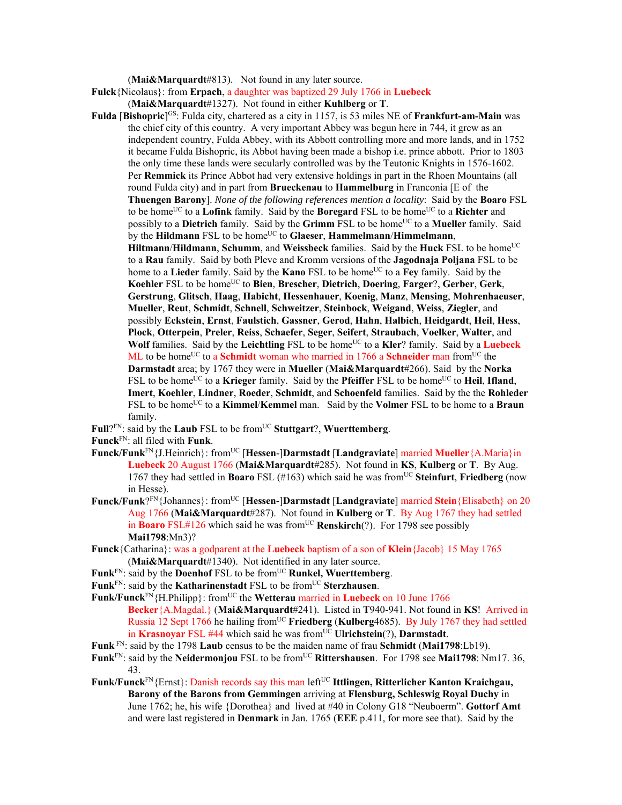(**Mai&Marquardt**#813). Not found in any later source.

**Fulck**{Nicolaus}: from **Erpach**, a daughter was baptized 29 July 1766 in **Luebeck** 

(**Mai&Marquardt**#1327). Not found in either **Kuhlberg** or **T**.

- **Fulda [Bishopric**]<sup>GS</sup>: Fulda city, chartered as a city in 1157, is 53 miles NE of **Frankfurt-am-Main** was the chief city of this country. A very important Abbey was begun here in 744, it grew as an independent country, Fulda Abbey, with its Abbott controlling more and more lands, and in 1752 it became Fulda Bishopric, its Abbot having been made a bishop i.e. prince abbott. Prior to 1803 the only time these lands were secularly controlled was by the Teutonic Knights in 1576-1602. Per **Remmick** its Prince Abbot had very extensive holdings in part in the Rhoen Mountains (all round Fulda city) and in part from **Brueckenau** to **Hammelburg** in Franconia [E of the **Thuengen Barony**]. *None of the following references mention a locality*: Said by the **Boaro** FSL to be home<sup>UC</sup> to a **Lofink** family. Said by the **Boregard** FSL to be home<sup>UC</sup> to a **Richter** and possibly to a **Dietrich** family. Said by the **Grimm** FSL to be home<sup>UC</sup> to a **Mueller** family. Said by the **Hildmann** FSL to be home<sup>UC</sup> to **Glaeser**, **Hammelmann**/**Himmelmann**, Hiltmann/Hildmann, Schumm, and Weissbeck families. Said by the Huck FSL to be home<sup>UC</sup> to a **Rau** family. Said by both Pleve and Kromm versions of the **Jagodnaja Poljana** FSL to be home to a **Lieder** family. Said by the **Kano** FSL to be home<sup>UC</sup> to a **Fey** family. Said by the **Koehler** FSL to be homeUC to **Bien**, **Brescher**, **Dietrich**, **Doering**, **Farger**?, **Gerber**, **Gerk**, **Gerstrung**, **Glitsch**, **Haag**, **Habicht**, **Hessenhauer**, **Koenig**, **Manz**, **Mensing**, **Mohrenhaeuser**, **Mueller**, **Reut**, **Schmidt**, **Schnell**, **Schweitzer**, **Steinbock**, **Weigand**, **Weiss**, **Ziegler**, and possibly **Eckstein**, **Ernst**, **Faulstich**, **Gassner**, **Gerod**, **Hahn**, **Halbich**, **Heidgardt**, **Heil**, **Hess**, **Plock**, **Otterpein**, **Preler**, **Reiss**, **Schaefer**, **Seger**, **Seifert**, **Straubach**, **Voelker**, **Walter**, and **Wolf** families. Said by the **Leichtling** FSL to be home<sup>UC</sup> to a **Kler**? family. Said by a **Luebeck** ML to be home<sup>UC</sup> to a **Schmidt** woman who married in 1766 a **Schneider** man from<sup>UC</sup> the **Darmstadt** area; by 1767 they were in **Mueller** (**Mai&Marquardt**#266). Said by the **Norka** FSL to be home<sup>UC</sup> to a **Krieger** family. Said by the **Pfeiffer** FSL to be home<sup>UC</sup> to **Heil**, **Ifland**, **Imert**, **Koehler**, **Lindner**, **Roeder**, **Schmidt**, and **Schoenfeld** families. Said by the the **Rohleder** FSL to be home<sup>UC</sup> to a **Kimmel/Kemmel** man. Said by the **Volmer** FSL to be home to a **Braun** family.
- Full?<sup>FN</sup>: said by the **Laub** FSL to be from<sup>UC</sup> Stuttgart?, Wuerttemberg.
- **Funck**FN: all filed with **Funk**.
- **Funck/Funk**FN{J.Heinrich}: fromUC [**Hessen**-]**Darmstadt** [**Landgraviate**] married **Mueller**{A.Maria}in **Luebeck** 20 August 1766 (**Mai&Marquardt**#285). Not found in **KS**, **Kulberg** or **T**. By Aug. 1767 they had settled in **Boaro** FSL (#163) which said he was fromUC **Steinfurt**, **Friedberg** (now in Hesse).
- **Funck/Funk**?FN{Johannes}: fromUC [**Hessen**-]**Darmstadt** [**Landgraviate**] married **Stein**{Elisabeth} on 20 Aug 1766 (**Mai&Marquardt**#287). Not found in **Kulberg** or **T**. By Aug 1767 they had settled in **Boaro** FSL#126 which said he was from<sup>UC</sup> **Renskirch**(?). For 1798 see possibly **Mai1798**:Mn3)?
- **Funck**{Catharina}: was a godparent at the **Luebeck** baptism of a son of **Klein**{Jacob} 15 May 1765 (**Mai&Marquardt**#1340). Not identified in any later source.
- Funk<sup>FN</sup>: said by the **Doenhof** FSL to be from<sup>UC</sup> **Runkel, Wuerttemberg**.
- Funk<sup>FN</sup>: said by the **Katharinenstadt** FSL to be from<sup>UC</sup> Sterzhausen.

**Funk/Funck<sup>FN</sup>**{H.Philipp}: from<sup>UC</sup> the **Wetterau** married in **Luebeck** on 10 June 1766 **Becker**{A.Magdal.} (**Mai&Marquardt**#241). Listed in **T**940-941. Not found in **KS**! Arrived in Russia 12 Sept 1766 he hailing fromUC **Friedberg** (**Kulberg**4685). B**y** July 1767 they had settled in Krasnoyar FSL #44 which said he was from<sup>UC</sup> Ulrichstein(?), Darmstadt.

- **Funk** FN: said by the 1798 **Laub** census to be the maiden name of frau **Schmidt** (**Mai1798**:Lb19).
- Funk<sup>FN</sup>: said by the **Neidermonjou** FSL to be from<sup>UC</sup> Rittershausen. For 1798 see Mai1798: Nm17. 36, 43.
- Funk/Funck<sup>FN</sup>{Ernst}: Danish records say this man left<sup>UC</sup> Ittlingen, Ritterlicher Kanton Kraichgau, **Barony of the Barons from Gemmingen** arriving at **Flensburg, Schleswig Royal Duchy** in June 1762; he, his wife {Dorothea} and lived at #40 in Colony G18 "Neuboerm". **Gottorf Amt** and were last registered in **Denmark** in Jan. 1765 (**EEE** p.411, for more see that). Said by the